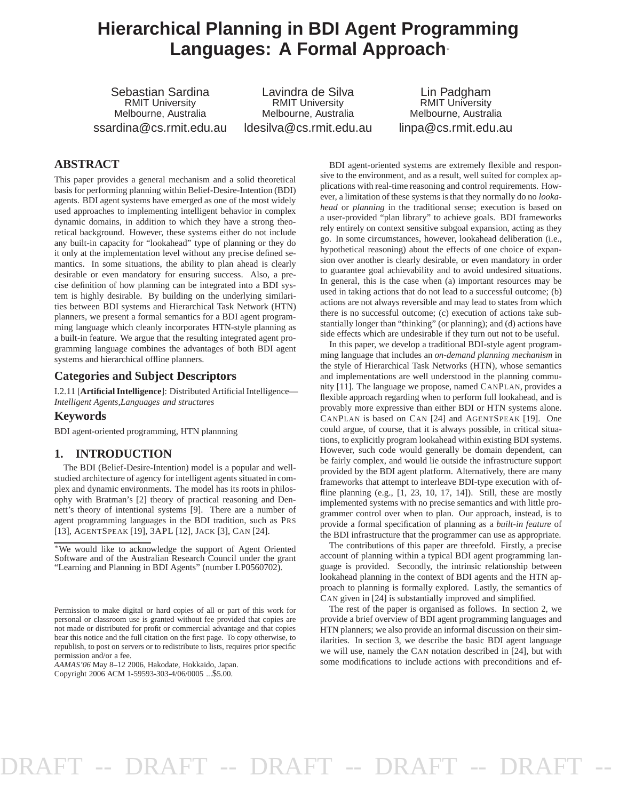# **Hierarchical Planning in BDI Agent Programming Languages: A Formal Approach**<sup>∗</sup>

Sebastian Sardina RMIT University Melbourne, Australia ssardina@cs.rmit.edu.au

Lavindra de Silva RMIT University Melbourne, Australia ldesilva@cs.rmit.edu.au

Lin Padgham RMIT University Melbourne, Australia linpa@cs.rmit.edu.au

### **ABSTRACT**

This paper provides a general mechanism and a solid theoretical basis for performing planning within Belief-Desire-Intention (BDI) agents. BDI agent systems have emerged as one of the most widely used approaches to implementing intelligent behavior in complex dynamic domains, in addition to which they have a strong theoretical background. However, these systems either do not include any built-in capacity for "lookahead" type of planning or they do it only at the implementation level without any precise defined semantics. In some situations, the ability to plan ahead is clearly desirable or even mandatory for ensuring success. Also, a precise definition of how planning can be integrated into a BDI system is highly desirable. By building on the underlying similarities between BDI systems and Hierarchical Task Network (HTN) planners, we present a formal semantics for a BDI agent programming language which cleanly incorporates HTN-style planning as a built-in feature. We argue that the resulting integrated agent programming language combines the advantages of both BDI agent systems and hierarchical offline planners.

#### **Categories and Subject Descriptors**

I.2.11 [**Artificial Intelligence**]: Distributed Artificial Intelligence— *Intelligent Agents,Languages and structures*

#### **Keywords**

BDI agent-oriented programming, HTN plannning

#### **1. INTRODUCTION**

The BDI (Belief-Desire-Intention) model is a popular and wellstudied architecture of agency for intelligent agents situated in complex and dynamic environments. The model has its roots in philosophy with Bratman's [2] theory of practical reasoning and Dennett's theory of intentional systems [9]. There are a number of agent programming languages in the BDI tradition, such as PRS [13], AGENTSPEAK [19], 3APL [12], JACK [3], CAN [24].

BDI agent-oriented systems are extremely flexible and responsive to the environment, and as a result, well suited for complex applications with real-time reasoning and control requirements. However, a limitation of these systems is that they normally do no *lookahead* or *planning* in the traditional sense; execution is based on a user-provided "plan library" to achieve goals. BDI frameworks rely entirely on context sensitive subgoal expansion, acting as they go. In some circumstances, however, lookahead deliberation (i.e., hypothetical reasoning) about the effects of one choice of expansion over another is clearly desirable, or even mandatory in order to guarantee goal achievability and to avoid undesired situations. In general, this is the case when (a) important resources may be used in taking actions that do not lead to a successful outcome; (b) actions are not always reversible and may lead to states from which there is no successful outcome; (c) execution of actions take substantially longer than "thinking" (or planning); and (d) actions have side effects which are undesirable if they turn out not to be useful.

In this paper, we develop a traditional BDI-style agent programming language that includes an *on-demand planning mechanism* in the style of Hierarchical Task Networks (HTN), whose semantics and implementations are well understood in the planning community [11]. The language we propose, named CANPLAN, provides a flexible approach regarding when to perform full lookahead, and is provably more expressive than either BDI or HTN systems alone. CANPLAN is based on CAN [24] and AGENTSPEAK [19]. One could argue, of course, that it is always possible, in critical situations, to explicitly program lookahead within existing BDI systems. However, such code would generally be domain dependent, can be fairly complex, and would lie outside the infrastructure support provided by the BDI agent platform. Alternatively, there are many frameworks that attempt to interleave BDI-type execution with offline planning (e.g.,  $[1, 23, 10, 17, 14]$ ). Still, these are mostly implemented systems with no precise semantics and with little programmer control over when to plan. Our approach, instead, is to provide a formal specification of planning as a *built-in feature* of the BDI infrastructure that the programmer can use as appropriate.

The contributions of this paper are threefold. Firstly, a precise account of planning within a typical BDI agent programming language is provided. Secondly, the intrinsic relationship between lookahead planning in the context of BDI agents and the HTN approach to planning is formally explored. Lastly, the semantics of CAN given in [24] is substantially improved and simplified.

The rest of the paper is organised as follows. In section 2, we provide a brief overview of BDI agent programming languages and HTN planners; we also provide an informal discussion on their similarities. In section 3, we describe the basic BDI agent language we will use, namely the CAN notation described in [24], but with some modifications to include actions with preconditions and ef-

<sup>∗</sup>We would like to acknowledge the support of Agent Oriented Software and of the Australian Research Council under the grant "Learning and Planning in BDI Agents" (number LP0560702).

Permission to make digital or hard copies of all or part of this work for personal or classroom use is granted without fee provided that copies are not made or distributed for profit or commercial advantage and that copies bear this notice and the full citation on the first page. To copy otherwise, to republish, to post on servers or to redistribute to lists, requires prior specific permission and/or a fee.

*AAMAS'06* May 8–12 2006, Hakodate, Hokkaido, Japan.

Copyright 2006 ACM 1-59593-303-4/06/0005 ...\$5.00.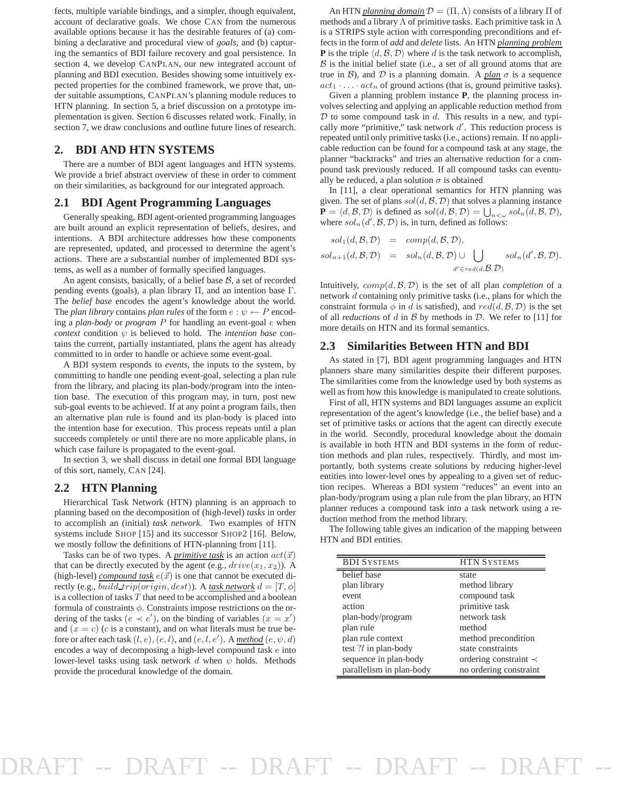fects, multiple variable bindings, and a simpler, though equivalent, account of declarative goals. We chose CAN from the numerous available options because it has the desirable features of (a) combining a declarative and procedural view of *goals*, and (b) capturing the semantics of BDI failure recovery and goal persistence. In section 4, we develop CANPLAN, our new integrated account of planning and BDI execution. Besides showing some intuitively expected properties for the combined framework, we prove that, under suitable assumptions, CANPLAN's planning module reduces to HTN planning. In section 5, a brief discussion on a prototype implementation is given. Section 6 discusses related work. Finally, in section 7, we draw conclusions and outline future lines of research.

#### **2. BDI AND HTN SYSTEMS**

There are a number of BDI agent languages and HTN systems. We provide a brief abstract overview of these in order to comment on their similarities, as background for our integrated approach.

#### **2.1 BDI Agent Programming Languages**

Generally speaking, BDI agent-oriented programming languages are built around an explicit representation of beliefs, desires, and intentions. A BDI architecture addresses how these components are represented, updated, and processed to determine the agent's actions. There are a substantial number of implemented BDI systems, as well as a number of formally specified languages.

An agent consists, basically, of a belief base  $B$ , a set of recorded pending events (goals), a plan library Π, and an intention base Γ. The *belief base* encodes the agent's knowledge about the world. The *plan library* contains *plan rules* of the form  $e : \psi \leftarrow P$  encoding a *plan-body* or *program* P for handling an event-goal e when *context* condition  $\psi$  is believed to hold. The *intention base* contains the current, partially instantiated, plans the agent has already committed to in order to handle or achieve some event-goal.

A BDI system responds to *events*, the inputs to the system, by committing to handle one pending event-goal, selecting a plan rule from the library, and placing its plan-body/program into the intention base. The execution of this program may, in turn, post new sub-goal events to be achieved. If at any point a program fails, then an alternative plan rule is found and its plan-body is placed into the intention base for execution. This process repeats until a plan succeeds completely or until there are no more applicable plans, in which case failure is propagated to the event-goal.

In section 3, we shall discuss in detail one formal BDI language of this sort, namely, CAN [24].

#### **2.2 HTN Planning**

Hierarchical Task Network (HTN) planning is an approach to planning based on the decomposition of (high-level) *tasks* in order to accomplish an (initial) *task network*. Two examples of HTN systems include SHOP [15] and its successor SHOP2 [16]. Below, we mostly follow the definitions of HTN-planning from [11].

Tasks can be of two types. A *primitive task* is an action  $act(\vec{x})$ that can be directly executed by the agent (e.g.,  $drive(x_1, x_2)$ ). A (high-level) *compound task*  $e(\vec{x})$  is one that cannot be executed directly (e.g., *build\_trip(origin, dest)*). A *task network*  $d = [T, \phi]$ is a collection of tasks T that need to be accomplished and a boolean formula of constraints  $\phi$ . Constraints impose restrictions on the ordering of the tasks  $(e \prec e')$ , on the binding of variables  $(x = x')$ and  $(x = c)$  (c is a constant), and on what literals must be true before or after each task  $(l, e), (e, l)$ , and  $(e, l, e')$ . A *method*  $(e, \psi, d)$ encodes a way of decomposing a high-level compound task e into lower-level tasks using task network d when  $\psi$  holds. Methods provide the procedural knowledge of the domain.

An HTN *planning domain*  $\mathcal{D} = (\Pi, \Lambda)$  consists of a library  $\Pi$  of methods and a library  $\Lambda$  of primitive tasks. Each primitive task in  $\Lambda$ is a STRIPS style action with corresponding preconditions and effects in the form of *add* and *delete* lists. An HTN *planning problem* **P** is the triple  $\langle d, \mathcal{B}, \mathcal{D} \rangle$  where d is the task network to accomplish,  $\beta$  is the initial belief state (i.e., a set of all ground atoms that are true in  $\beta$ ), and  $\mathcal D$  is a planning domain. A *plan*  $\sigma$  is a sequence  $act_1 \cdot \ldots \cdot act_n$  of ground actions (that is, ground primitive tasks).

Given a planning problem instance **P**, the planning process involves selecting and applying an applicable reduction method from  $D$  to some compound task in  $d$ . This results in a new, and typically more "primitive," task network  $d'$ . This reduction process is repeated until only primitive tasks (i.e., actions) remain. If no applicable reduction can be found for a compound task at any stage, the planner "backtracks" and tries an alternative reduction for a compound task previously reduced. If all compound tasks can eventually be reduced, a plan solution  $\sigma$  is obtained

In [11], a clear operational semantics for HTN planning was given. The set of plans  $sol(d, \mathcal{B}, \mathcal{D})$  that solves a planning instance  $\mathbf{P} = \langle d, \mathcal{B}, \mathcal{D} \rangle$  is defined as  $sol(d, \mathcal{B}, \mathcal{D}) = \bigcup_{n < \omega} sol_n(d, \mathcal{B}, \mathcal{D}),$ where  $\text{sol}_n(\text{d}', \mathcal{B}, \mathcal{D})$  is, in turn, defined as follows:

$$
sol_1(d, \mathcal{B}, \mathcal{D}) = comp(d, \mathcal{B}, \mathcal{D}),
$$
  
\n
$$
sol_{n+1}(d, \mathcal{B}, \mathcal{D}) = sol_n(d, \mathcal{B}, \mathcal{D}) \cup \bigcup_{d' \in red(d, \mathcal{B}, \mathcal{D})} sol_n(d', \mathcal{B}, \mathcal{D}).
$$

Intuitively,  $comp(d, \mathcal{B}, \mathcal{D})$  is the set of all plan *completion* of a network d containing only primitive tasks (i.e., plans for which the constraint formula  $\phi$  in d is satisfied), and  $red(d, \mathcal{B}, \mathcal{D})$  is the set of all *reductions* of d in B by methods in D. We refer to [11] for more details on HTN and its formal semantics.

#### **2.3 Similarities Between HTN and BDI**

As stated in [7], BDI agent programming languages and HTN planners share many similarities despite their different purposes. The similarities come from the knowledge used by both systems as well as from how this knowledge is manipulated to create solutions.

First of all, HTN systems and BDI languages assume an explicit representation of the agent's knowledge (i.e., the belief base) and a set of primitive tasks or actions that the agent can directly execute in the world. Secondly, procedural knowledge about the domain is available in both HTN and BDI systems in the form of reduction methods and plan rules, respectively. Thirdly, and most importantly, both systems create solutions by reducing higher-level entities into lower-level ones by appealing to a given set of reduction recipes. Whereas a BDI system "reduces" an event into an plan-body/program using a plan rule from the plan library, an HTN planner reduces a compound task into a task network using a reduction method from the method library.

The following table gives an indication of the mapping between HTN and BDI entities.

| <b>BDI SYSTEMS</b>       | <b>HTN SYSTEMS</b>          |
|--------------------------|-----------------------------|
| belief base              | state                       |
| plan library             | method library              |
| event                    | compound task               |
| action                   | primitive task              |
| plan-body/program        | network task                |
| plan rule                | method                      |
| plan rule context        | method precondition         |
| test $?l$ in plan-body   | state constraints           |
| sequence in plan-body    | ordering constraint $\prec$ |
| parallelism in plan-body | no ordering constraint      |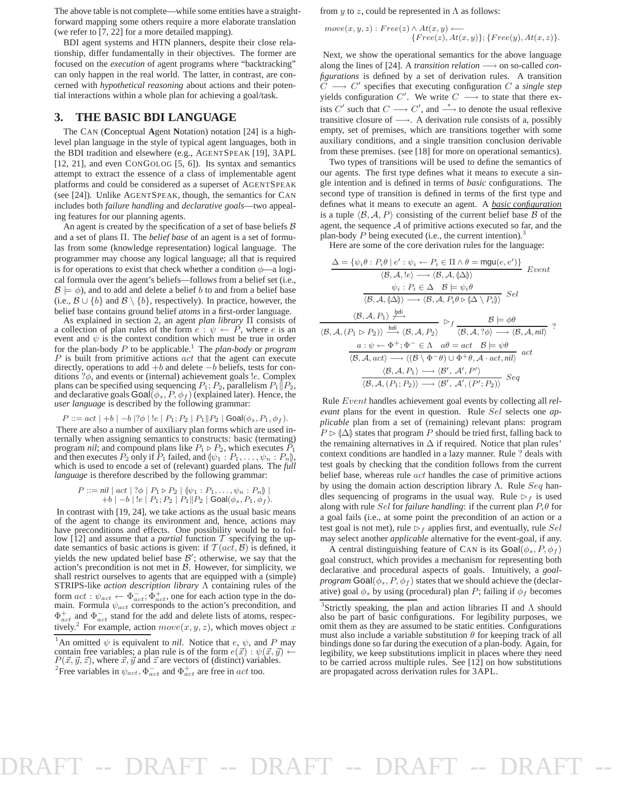The above table is not complete—while some entities have a straightforward mapping some others require a more elaborate translation (we refer to [7, 22] for a more detailed mapping).

BDI agent systems and HTN planners, despite their close relationship, differ fundamentally in their objectives. The former are focused on the *execution* of agent programs where "backtracking" can only happen in the real world. The latter, in contrast, are concerned with *hypothetical reasoning* about actions and their potential interactions within a whole plan for achieving a goal/task.

#### **3. THE BASIC BDI LANGUAGE**

The CAN (**C**onceptual **A**gent **N**otation) notation [24] is a highlevel plan language in the style of typical agent languages, both in the BDI tradition and elsewhere (e.g., AGENTSPEAK [19], 3APL [12, 21], and even CONGOLOG [5, 6]). Its syntax and semantics attempt to extract the essence of a class of implementable agent platforms and could be considered as a superset of AGENTSPEAK (see [24]). Unlike AGENTSPEAK, though, the semantics for CAN includes both *failure handling* and *declarative goals*—two appealing features for our planning agents.

An agent is created by the specification of a set of base beliefs  $\beta$ and a set of plans Π. The *belief base* of an agent is a set of formulas from some (knowledge representation) logical language. The programmer may choose any logical language; all that is required is for operations to exist that check whether a condition  $\phi$ —a logical formula over the agent's beliefs—follows from a belief set (i.e.,  $\mathcal{B} \models \phi$ , and to add and delete a belief b to and from a belief base (i.e.,  $\mathcal{B} \cup \{b\}$  and  $\mathcal{B} \setminus \{b\}$ , respectively). In practice, however, the belief base contains ground belief *atoms* in a first-order language.

As explained in section 2, an agent *plan library* Π consists of a collection of plan rules of the form  $e : \psi \leftarrow P$ , where e is an event and  $\psi$  is the context condition which must be true in order for the plan-body  $P$  to be applicable.<sup>1</sup> The *plan-body* or *program*  $P$  is built from primitive actions  $act$  that the agent can execute directly, operations to add  $+b$  and delete  $-b$  beliefs, tests for conditions  $?$  $\phi$ , and events or (internal) achievement goals *le*. Complex plans can be specified using sequencing  $P_1$ ;  $P_2$ , parallelism  $P_1||P_2$ , and declarative goals  $\text{Goal}(\phi_s, P, \phi_f)$  (explained later). Hence, the *user language* is described by the following grammar:

$$
P ::= act | +b | -b |? \phi |!e | P_1; P_2 | P_1 || P_2 | \text{Goal}(\phi_s, P_1, \phi_f).
$$

There are also a number of auxiliary plan forms which are used internally when assigning semantics to constructs: basic (termating) program *nil*; and compound plans like  $P_1 \triangleright P_2$ , which executes  $P_1$ and then executes  $P_2$  only if  $P_1$  failed, and  $\psi_1 : P_1, \ldots, \psi_n : P_n$ , which is used to encode a set of (relevant) guarded plans. The *full language* is therefore described by the following grammar:

P ::= *nil* | act | ?φ | P<sup>1</sup> ⊲ P<sup>2</sup> | Lψ<sup>1</sup> : P1, . . . , ψ<sup>n</sup> : PnM | +b | −b | !e | P1; P<sup>2</sup> | P1kP<sup>2</sup> | Goal(φs, P1, φ<sup>f</sup> ).

In contrast with [19, 24], we take actions as the usual basic means of the agent to change its environment and, hence, actions may have preconditions and effects. One possibility would be to follow [12] and assume that a *partial* function  $\tilde{T}$  specifying the update semantics of basic actions is given: if  $\mathcal{T}(act, \mathcal{B})$  is defined, it yields the new updated belief base  $\beta'$ ; otherwise, we say that the action's precondition is not met in  $B$ . However, for simplicity, we shall restrict ourselves to agents that are equipped with a (simple) STRIPS-like *action description library* Λ containing rules of the form  $act : \psi_{act} \leftarrow \Phi_{act}^-$ ;  $\Phi_{act}^+$ , one for each action type in the do-<br>main. Formula  $\psi_{act}$  corresponds to the action's precondition, and  $\Phi_{act}^{+}$  and  $\Phi_{act}^{-}$  stand for the add and delete lists of atoms, respectively.<sup>2</sup> For example, action  $move(x, y, z)$ , which moves object x

from y to z, could be represented in  $\Lambda$  as follows:

$$
move(x, y, z): Free(z) \land At(x, y) \leftarrow
$$
  
\n{Free(z), At(x, y)}; {Free(y), At(x, z)}.

Next, we show the operational semantics for the above language along the lines of [24]. A *transition relation* −→ on so-called *configurations* is defined by a set of derivation rules. A transition  $\widetilde{C} \longrightarrow C'$  specifies that executing configuration  $C$  a *single step* yields configuration  $C'$ . We write  $C \longrightarrow$  to state that there exists C' such that  $C \longrightarrow C'$ , and  $\stackrel{*}{\longrightarrow}$  to denote the usual reflexive transitive closure of  $\longrightarrow$ . A derivation rule consists of a, possibly empty, set of premises, which are transitions together with some auxiliary conditions, and a single transition conclusion derivable from these premises. (see [18] for more on operational semantics).

Two types of transitions will be used to define the semantics of our agents. The first type defines what it means to execute a single intention and is defined in terms of *basic* configurations. The second type of transition is defined in terms of the first type and defines what it means to execute an agent. A *basic configuration* is a tuple  $\langle \mathcal{B}, \mathcal{A}, P \rangle$  consisting of the current belief base  $\mathcal B$  of the agent, the sequence  $A$  of primitive actions executed so far, and the plan-body  $P$  being executed (i.e., the current intention).<sup>3</sup>

Here are some of the core derivation rules for the language:

$$
\frac{\Delta = \{\psi_i \theta : P_i \theta \mid e' : \psi_i \leftarrow P_i \in \Pi \land \theta = \text{mgu}(e, e')\}}{\langle \mathcal{B}, \mathcal{A}, \mathcal{C} \rangle \rangle} \text{ Event}
$$
\n
$$
\frac{\langle \mathcal{B}, \mathcal{A}, \mathcal{C} \rangle \rightarrow \langle \mathcal{B}, \mathcal{A}, \mathcal{C} \rangle \rangle}{\langle \mathcal{B}, \mathcal{A}, \mathcal{C} \rangle \rightarrow \langle \mathcal{B}, \mathcal{A}, P_i \theta \rangle \langle \Delta \setminus P_i \rangle} \text{ Sel}
$$
\n
$$
\frac{\langle \mathcal{B}, \mathcal{A}, \mathcal{C} \rangle \rightarrow \langle \mathcal{B}, \mathcal{A}, P_i \theta \rangle}{\langle \mathcal{B}, \mathcal{A}, P_i \rangle} \sim \frac{\mathcal{B} \models \phi \theta}{\langle \mathcal{B}, \mathcal{A}, P_i \rangle \rightarrow \langle \mathcal{B}, \mathcal{A}, P_i \rangle} \rightarrow \frac{\mathcal{B} \models \phi \theta}{\langle \mathcal{B}, \mathcal{A}, P_i \rangle \rightarrow \langle \mathcal{B}, \mathcal{A}, \mathcal{C} \rangle} \rightarrow \frac{\langle \mathcal{B}, \mathcal{A}, P_i \rangle}{\langle \mathcal{B}, \mathcal{A}, act \rangle \rightarrow \langle (\mathcal{B} \setminus \Phi^{-1}) \cup \Phi^{+} \theta, \mathcal{A} \cdot act, \mathit{nil} \rangle} \text{ act}
$$
\n
$$
\frac{\langle \mathcal{B}, \mathcal{A}, P_1 \rangle \rightarrow \langle \mathcal{B}', \mathcal{A}', P' \rangle}{\langle \mathcal{B}, \mathcal{A}, (P_1; P_2) \rangle \rightarrow \langle \mathcal{B}', \mathcal{A}', (P'; P_2) \rangle} \text{ Seq}
$$

Rule Event handles achievement goal events by collecting all *relevant* plans for the event in question. Rule Sel selects one *applicable* plan from a set of (remaining) relevant plans: program  $P \triangleright (\Delta)$  states that program P should be tried first, falling back to the remaining alternatives in  $\Delta$  if required. Notice that plan rules' context conditions are handled in a lazy manner. Rule ? deals with test goals by checking that the condition follows from the current belief base, whereas rule act handles the case of primitive actions by using the domain action description library Λ. Rule  $Seq$  handles sequencing of programs in the usual way. Rule  $\triangleright_f$  is used along with rule *Sel* for *failure handling*: if the current plan  $P_i\theta$  for a goal fails (i.e., at some point the precondition of an action or a test goal is not met), rule  $\triangleright_f$  applies first, and eventually, rule Sel may select another *applicable* alternative for the event-goal, if any.

A central distinguishing feature of CAN is its  $\text{Goal}(\phi_s, P, \phi_f)$ goal construct, which provides a mechanism for representing both declarative and procedural aspects of goals. Intuitively, a *goalprogram* Goal $(\phi_s, P, \phi_f)$  states that we should achieve the (declarative) goal  $\phi_s$  by using (procedural) plan P; failing if  $\phi_f$  becomes

<sup>&</sup>lt;sup>1</sup>An omitted  $\psi$  is equivalent to *nil*. Notice that e,  $\psi$ , and P may contain free variables; a plan rule is of the form  $e(\vec{x}) : \psi(\vec{x}, \vec{y})$  $P(\vec{x}, \vec{y}, \vec{z})$ , where  $\vec{x}, \vec{y}$  and  $\vec{z}$  are vectors of (distinct) variables.

<sup>&</sup>lt;sup>2</sup>Free variables in  $\psi_{act}$ ,  $\Phi_{act}^-$  and  $\Phi_{act}^+$  are free in *act* too.

<sup>&</sup>lt;sup>3</sup>Strictly speaking, the plan and action libraries  $\Pi$  and  $\Lambda$  should also be part of basic configurations. For legibility purposes, we omit them as they are assumed to be static entities. Configurations must also include a variable substitution  $\theta$  for keeping track of all bindings done so far during the execution of a plan-body. Again, for legibility, we keep substitutions implicit in places where they need to be carried across multiple rules. See [12] on how substitutions are propagated across derivation rules for 3APL.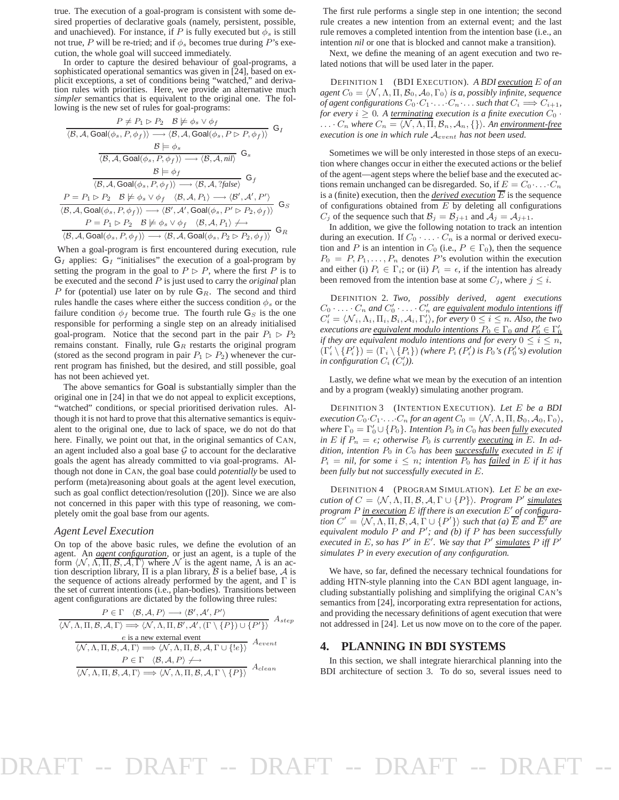true. The execution of a goal-program is consistent with some desired properties of declarative goals (namely, persistent, possible, and unachieved). For instance, if P is fully executed but  $\phi_s$  is still not true, P will be re-tried; and if  $\phi_s$  becomes true during P's execution, the whole goal will succeed immediately.

In order to capture the desired behaviour of goal-programs, a sophisticated operational semantics was given in [24], based on explicit exceptions, a set of conditions being "watched," and derivation rules with priorities. Here, we provide an alternative much *simpler* semantics that is equivalent to the original one. The following is the new set of rules for goal-programs:

$$
\frac{P \neq P_1 \rhd P_2 \quad \mathcal{B} \not\models \phi_s \lor \phi_f}{\langle \mathcal{B}, \mathcal{A}, \text{Goal}(\phi_s, P, \phi_f) \rangle} \quad \mathsf{G}_I
$$
\n
$$
\frac{\mathcal{B} \models \phi_s}{\langle \mathcal{B}, \mathcal{A}, \text{Goal}(\phi_s, P, \phi_f) \rangle} \quad \mathsf{G}_S
$$
\n
$$
\frac{\mathcal{B} \models \phi_s}{\langle \mathcal{B}, \mathcal{A}, \text{Goal}(\phi_s, P, \phi_f) \rangle} \longrightarrow \langle \mathcal{B}, \mathcal{A}, \text{nil} \rangle} \quad \mathsf{G}_s
$$
\n
$$
\frac{\mathcal{B} \models \phi_f}{\langle \mathcal{B}, \mathcal{A}, \text{Goal}(\phi_s, P, \phi_f) \rangle \longrightarrow \langle \mathcal{B}, \mathcal{A}, ? \text{false} \rangle} \quad \mathsf{G}_f
$$
\n
$$
P = P_1 \rhd P_2 \quad \mathcal{B} \not\models \phi_s \lor \phi_f \quad \langle \mathcal{B}, \mathcal{A}, P_1 \rangle \longrightarrow \langle \mathcal{B}', \mathcal{A}', P' \rangle
$$
\n
$$
\langle \mathcal{B}, \mathcal{A}, \text{Goal}(\phi_s, P, \phi_f) \rangle \longrightarrow \langle \mathcal{B}', \mathcal{A}', \text{Goal}(\phi_s, P' \rhd P_2, \phi_f) \rangle \quad \mathsf{G}_R
$$
\n
$$
\frac{P = P_1 \rhd P_2 \quad \mathcal{B} \not\models \phi_s \lor \phi_f \quad \langle \mathcal{B}, \mathcal{A}, \text{Goal}(\phi_s, P_2 \rhd P_2, \phi_f) \rangle}{\langle \mathcal{B}, \mathcal{A}, \text{Goal}(\phi_s, P, \phi_f) \rangle \longrightarrow \langle \mathcal{B}, \mathcal{A}, \text{Goal}(\phi_s, P_2 \rhd P_2, \phi_f) \rangle} \quad \mathsf{G}_R
$$

When a goal-program is first encountered during execution, rule  $G_I$  applies:  $G_I$  "initialises" the execution of a goal-program by setting the program in the goal to  $P \triangleright P$ , where the first P is to be executed and the second P is just used to carry the *original* plan P for (potential) use later on by rule  $G_R$ . The second and third rules handle the cases where either the success condition  $\phi_s$  or the failure condition  $\phi_f$  become true. The fourth rule  $G_S$  is the one responsible for performing a single step on an already initialised goal-program. Notice that the second part in the pair  $P_1 \triangleright P_2$ remains constant. Finally, rule  $G_R$  restarts the original program (stored as the second program in pair  $P_1 \triangleright P_2$ ) whenever the current program has finished, but the desired, and still possible, goal has not been achieved yet.

The above semantics for Goal is substantially simpler than the original one in [24] in that we do not appeal to explicit exceptions, "watched" conditions, or special prioritised derivation rules. Although it is not hard to prove that this alternative semantics is equivalent to the original one, due to lack of space, we do not do that here. Finally, we point out that, in the original semantics of CAN, an agent included also a goal base  $G$  to account for the declarative goals the agent has already committed to via goal-programs. Although not done in CAN, the goal base could *potentially* be used to perform (meta)reasoning about goals at the agent level execution, such as goal conflict detection/resolution ([20]). Since we are also not concerned in this paper with this type of reasoning, we completely omit the goal base from our agents.

#### *Agent Level Execution*

On top of the above basic rules, we define the evolution of an agent. An *agent configuration*, or just an agent, is a tuple of the form  $\langle N, \Lambda, \Pi, B, A, \Gamma \rangle$  where N is the agent name,  $\Lambda$  is an action description library,  $\Pi$  is a plan library,  $\beta$  is a belief base,  $\mathcal A$  is the sequence of actions already performed by the agent, and  $\Gamma$  is the set of current intentions (i.e., plan-bodies). Transitions between agent configurations are dictated by the following three rules:

$$
\frac{P \in \Gamma \quad \langle \mathcal{B}, \mathcal{A}, P \rangle \longrightarrow \langle \mathcal{B}', \mathcal{A}', P' \rangle}{\langle \mathcal{N}, \Lambda, \Pi, \mathcal{B}, \mathcal{A}, \Gamma \rangle \Longrightarrow \langle \mathcal{N}, \Lambda, \Pi, \mathcal{B}', \mathcal{A}', (\Gamma \setminus \{P\}) \cup \{P'\} \rangle} A_{step}
$$
\ne is a new external event  
\n
$$
\frac{e \text{ is a new external event}}{\langle \mathcal{N}, \Lambda, \Pi, \mathcal{B}, \mathcal{A}, \Gamma \rangle \Longrightarrow \langle \mathcal{N}, \Lambda, \Pi, \mathcal{B}, \mathcal{A}, \Gamma \cup \{le\} \rangle} A_{event}
$$
\n
$$
P \in \Gamma \quad \langle \mathcal{B}, \mathcal{A}, P \rangle \nrightarrow
$$
\n
$$
\frac{\langle \mathcal{N}, \Lambda, \Pi, \mathcal{B}, \mathcal{A}, \Gamma \rangle \Longrightarrow \langle \mathcal{N}, \Lambda, \Pi, \mathcal{B}, \mathcal{A}, \Gamma \setminus \{P\} \rangle}{\langle \mathcal{N}, \Lambda, \Pi, \mathcal{B}, \mathcal{A}, \Gamma \rangle \Longrightarrow \langle \mathcal{N}, \Lambda, \Pi, \mathcal{B}, \mathcal{A}, \Gamma \setminus \{P\} \rangle} A_{clean}
$$

The first rule performs a single step in one intention; the second rule creates a new intention from an external event; and the last rule removes a completed intention from the intention base (i.e., an intention *nil* or one that is blocked and cannot make a transition).

Next, we define the meaning of an agent execution and two related notions that will be used later in the paper.

DEFINITION 1 (BDI EXECUTION). *A BDI execution* E *of an agent*  $C_0 = \langle \mathcal{N}, \Lambda, \Pi, \mathcal{B}_0, \mathcal{A}_0, \Gamma_0 \rangle$  *is a, possibly infinite, sequence of agent configurations*  $C_0 \cdot C_1 \cdot \ldots \cdot C_n \cdot \ldots$  *such that*  $C_i \Longrightarrow C_{i+1}$ *, for every*  $i \geq 0$ . A <u>terminating</u> execution is a finite execution  $C_0$ . ...  $C_n$  where  $C_n = \langle \mathcal{N}, \Lambda, \Pi, \mathcal{B}_n, \mathcal{A}_n, \{\} \rangle$ . An environment-free *execution is one in which rule* Aevent *has not been used.*

Sometimes we will be only interested in those steps of an execution where changes occur in either the executed actions or the belief of the agent—agent steps where the belief base and the executed actions remain unchanged can be disregarded. So, if  $E = C_0 \cdot \ldots \cdot C_n$ is a (finite) execution, then the *derived execution*  $\overline{E}$  is the sequence of configurations obtained from  $E$  by deleting all configurations  $C_j$  of the sequence such that  $\mathcal{B}_j = \mathcal{B}_{j+1}$  and  $\mathcal{A}_j = \mathcal{A}_{j+1}$ .

In addition, we give the following notation to track an intention during an execution. If  $C_0 \cdot \ldots \cdot C_n$  is a normal or derived execution and P is an intention in  $C_0$  (i.e.,  $P \in \Gamma_0$ ), then the sequence  $P_0 = P_1, P_1, \ldots, P_n$  denotes P's evolution within the execution and either (i)  $P_i \in \Gamma_i$ ; or (ii)  $P_i = \epsilon$ , if the intention has already been removed from the intention base at some  $C_j$ , where  $j \leq i$ .

DEFINITION 2. *Two, possibly derived, agent executions*  $C_0 \cdot \ldots \cdot C_n$  and  $C'_0 \cdot \ldots \cdot C'_n$  are <u>equivalent modulo intentions</u> iff  $C_i' = \langle N_i, \Lambda_i, \Pi_i, \mathcal{B}_i, \mathcal{A}_i, \Gamma_i' \rangle$ , for every  $0 \leq i \leq n$ . Also, the two *executions are equivalent modulo intentions*  $P_0 \in \Gamma_0$  *and*  $P'_0 \in \Gamma'_0$ *if they are equivalent modulo intentions and for every*  $0 \le i \le n$ ,  $(\Gamma'_i \setminus \{P'_i\}) = (\Gamma_i \setminus \{P_i\})$  *(where*  $P_i$  *(P''*) is  $P_0$ 's *(P''*s) evolution in configuration  $C_i$   $(C'_i)$ ).

Lastly, we define what we mean by the execution of an intention and by a program (weakly) simulating another program.

DEFINITION 3 (INTENTION EXECUTION). *Let* E *be a BDI execution*  $C_0 \cdot C_1 \cdot \ldots \cdot C_n$  *for an agent*  $C_0 = \langle \mathcal{N}, \Lambda, \Pi, \mathcal{B}_0, \mathcal{A}_0, \Gamma_0 \rangle$ *, where*  $\Gamma_0 = \Gamma'_0 \cup \{P_0\}$ . Intention  $P_0$  in  $C_0$  has been <u>fully</u> executed *in*  $E$  *if*  $P_n = \epsilon$ *; otherwise*  $P_0$  *is currently <u>executing</u> in*  $E$ *. In addition, intention*  $P_0$  *in*  $C_0$  *has been successfully executed in*  $E$  *if*  $P_i$  = *nil, for some*  $i \leq n$ ; intention  $P_0$  has failed in E if it has *been fully but not successfully executed in* E*.*

DEFINITION 4 (PROGRAM SIMULATION). *Let* E *be an execution of*  $C = \langle N, \Lambda, \Pi, \mathcal{B}, \mathcal{A}, \Gamma \cup \{P\} \rangle$ . Program P' <u>simulates</u> *program* P *in execution* E *iff there is an execution* E ′ *of configuration*  $C' = \langle N, \Lambda, \Pi, B, A, \Gamma \cup \{P'\}\rangle$  *such that (a)*  $\overline{E}$  *and*  $\overline{E'}$  *are equivalent modulo* P *and* P ′ *; and (b) if* P *has been successfully*  $\vec{r}$  executed in E<sub>,</sub> so has P' in E'. We say that P' simulates P iff P' *simulates* P *in every execution of any configuration.*

We have, so far, defined the necessary technical foundations for adding HTN-style planning into the CAN BDI agent language, including substantially polishing and simplifying the original CAN's semantics from [24], incorporating extra representation for actions, and providing the necessary definitions of agent execution that were not addressed in [24]. Let us now move on to the core of the paper.

#### **4. PLANNING IN BDI SYSTEMS**

In this section, we shall integrate hierarchical planning into the BDI architecture of section 3. To do so, several issues need to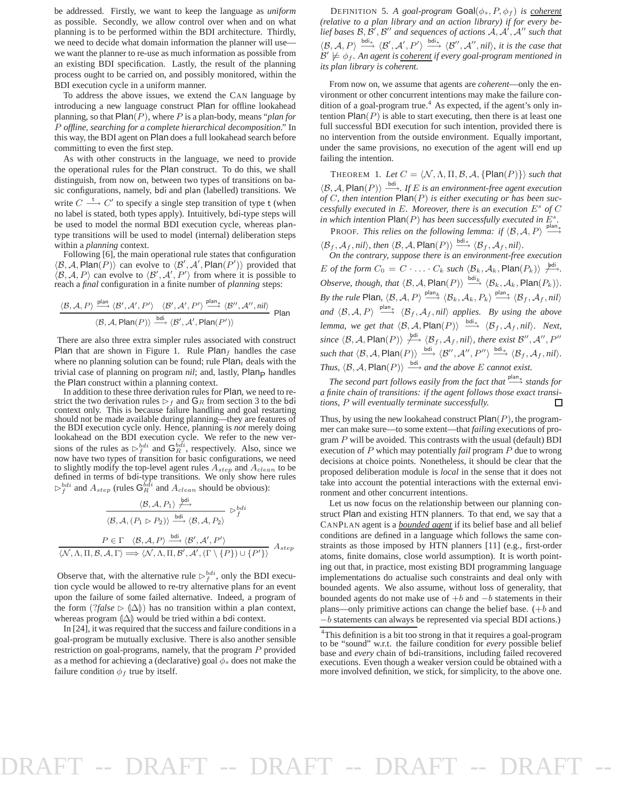be addressed. Firstly, we want to keep the language as *uniform* as possible. Secondly, we allow control over when and on what planning is to be performed within the BDI architecture. Thirdly, we need to decide what domain information the planner will use we want the planner to re-use as much information as possible from an existing BDI specification. Lastly, the result of the planning process ought to be carried on, and possibly monitored, within the BDI execution cycle in a uniform manner.

To address the above issues, we extend the CAN language by introducing a new language construct Plan for offline lookahead planning, so that Plan(P), where P is a plan-body, means "*plan for* P *offline, searching for a complete hierarchical decomposition*." In this way, the BDI agent on Plan does a full lookahead search before committing to even the first step.

As with other constructs in the language, we need to provide the operational rules for the Plan construct. To do this, we shall distinguish, from now on, between two types of transitions on basic configurations, namely, bdi and plan (labelled) transitions. We write  $C \stackrel{\mathsf{t}}{\longrightarrow} C'$  to specify a single step transition of type t (when no label is stated, both types apply). Intuitively, bdi-type steps will be used to model the normal BDI execution cycle, whereas plantype transitions will be used to model (internal) deliberation steps within a *planning* context.

Following [6], the main operational rule states that configuration  $\langle \mathcal{B}, \mathcal{A}, \text{Plan}(P) \rangle$  can evolve to  $\langle \mathcal{B}', \mathcal{A}', \text{Plan}(P') \rangle$  provided that  $\langle B, A, P \rangle$  can evolve to  $\langle B', A', P' \rangle$  from where it is possible to reach a *final* configuration in a finite number of *planning* steps:

$$
\frac{\langle \mathcal{B}, \mathcal{A}, P \rangle \xrightarrow{\text{plan}} \langle \mathcal{B}', \mathcal{A}', P' \rangle \quad \langle \mathcal{B}', \mathcal{A}', P' \rangle \xrightarrow{\text{plan}_{\uparrow}} \langle \mathcal{B}'', \mathcal{A}'', nil \rangle}{\langle \mathcal{B}, \mathcal{A}, \text{Plan}(P) \rangle \xrightarrow{\text{bil}} \langle \mathcal{B}', \mathcal{A}', \text{Plan}(P') \rangle} \text{Plan}
$$

There are also three extra simpler rules associated with construct Plan that are shown in Figure 1. Rule Plan $_f$  handles the case where no planning solution can be found; rule  $Plan<sub>t</sub>$  deals with the trivial case of planning on program *nil*; and, lastly, Plan<sub>P</sub> handles the Plan construct within a planning context.

In addition to these three derivation rules for Plan, we need to restrict the two derivation rules  $\triangleright_f$  and  $\mathsf{G}_R$  from section 3 to the bdi context only. This is because failure handling and goal restarting should not be made available during planning—they are features of the BDI execution cycle only. Hence, planning is *not* merely doing lookahead on the BDI execution cycle. We refer to the new versions of the rules as  $\triangleright^{bdi}_{f}$  and  $\mathbf{G}_{R}^{bdi}$ , respectively. Also, since we now have two types of transition for basic configurations, we need to slightly modify the top-level agent rules  $A_{step}$  and  $A_{clean}$  to be defined in terms of bdi-type transitions. We only show here rules  $\triangleright_j^{bdi}$  and  $A_{step}$  (rules  $\mathbf{G}_R^{bdi}$  and  $A_{clean}$  should be obvious):

$$
\frac{\langle \mathcal{B}, \mathcal{A}, P_1 \rangle \xrightarrow{\text{bdi}}}{\langle \mathcal{B}, \mathcal{A}, (P_1 \rhd P_2) \rangle} \xrightarrow{\text{bdi}} \langle \mathcal{B}, \mathcal{A}, P_2 \rangle} \rhd_f^{\text{bdi}}
$$
\n
$$
\frac{P \in \Gamma \quad \langle \mathcal{B}, \mathcal{A}, P \rangle \xrightarrow{\text{bdi}} \langle \mathcal{B}', \mathcal{A}', P' \rangle}{\langle \mathcal{N}, \Lambda, \Pi, \mathcal{B}, \mathcal{A}, \Gamma \rangle \Longrightarrow \langle \mathcal{N}, \Lambda, \Pi, \mathcal{B}', \mathcal{A}', (\Gamma \setminus \{P\}) \cup \{P' \} \rangle} A_{step}
$$

Observe that, with the alternative rule  $\triangleright^{bdi}_{f}$ , only the BDI execution cycle would be allowed to re-try alternative plans for an event upon the failure of some failed alternative. Indeed, a program of the form  $(?false \triangleright (\triangle) )$  has no transition within a plan context, whereas program  $(\Delta)$  would be tried within a bdi context.

In [24], it was required that the success and failure conditions in a goal-program be mutually exclusive. There is also another sensible restriction on goal-programs, namely, that the program P provided as a method for achieving a (declarative) goal  $\phi_s$  does not make the failure condition  $\phi_f$  true by itself.

DEFINITION 5. A goal-program  $Goal(\phi_s, P, \phi_f)$  is <u>coherent</u> *(relative to a plan library and an action library) if for every belief bases* B, B ′ , B ′′ *and sequences of actions* <sup>A</sup>, <sup>A</sup> ′ , A ′′ *such that*  $\langle \mathcal{B}, \mathcal{A}, P \rangle \stackrel{\text{bdi}_*}{\longrightarrow} \langle \mathcal{B}', \mathcal{A}', P' \rangle \stackrel{\text{bdi}_*}{\longrightarrow} \langle \mathcal{B}'', \mathcal{A}'', nil \rangle$ , it is the case that  $\mathcal{B}' \not\models \phi_f$ . An agent is <u>coherent</u> if every goal-program mentioned in *its plan library is coherent.*

From now on, we assume that agents are *coherent*—only the environment or other concurrent intentions may make the failure condition of a goal-program true.<sup>4</sup> As expected, if the agent's only intention  $\text{Plan}(P)$  is able to start executing, then there is at least one full successful BDI execution for such intention, provided there is no intervention from the outside environment. Equally important, under the same provisions, no execution of the agent will end up failing the intention.

THEOREM 1. Let  $C = \langle \mathcal{N}, \Lambda, \Pi, \mathcal{B}, \mathcal{A}, \{\text{Plan}(P)\}\rangle$  *such that*  $\langle \mathcal{B}, \mathcal{A}, \mathsf{Plan}(P) \rangle \longrightarrow$ *. If E is an environment-free agent execution of* C*, then intention* Plan(P) *is either executing or has been successfully executed in* E*. Moreover, there is an execution* E s *of* C in which intention  $\text{Plan}(P)$  has been successfully executed in  $E^s$ .

**PROOF.** This relies on the following lemma: if  $\langle \mathcal{B}, \mathcal{A}, P \rangle \stackrel{\text{plan}}{\longrightarrow}$  $\langle B_f, \mathcal{A}_f, \textit{nil} \rangle$ , then  $\langle \mathcal{B}, \mathcal{A}, \text{Plan}(P) \rangle \stackrel{\text{bdi}*}{\longrightarrow} \langle \mathcal{B}_f, \mathcal{A}_f, \textit{nil} \rangle$ .<br>On the contrary, suppose there is an environment-free execution

E of the form  $C_0 = C \cdot \ldots \cdot C_k$  such  $\langle \mathcal{B}_k, \mathcal{A}_k, \mathsf{Plan}(P_k) \rangle \nrightarrow{\text{Pdi}}$ . *Observe, though, that*  $\langle \mathcal{B}, \mathcal{A}, \mathsf{Plan}(P) \rangle \stackrel{\text{bdi}_k}{\longrightarrow} \langle \mathcal{B}_k, \mathcal{A}_k, \mathsf{Plan}(P_k) \rangle.$ *By the rule* Plan,  $\langle \mathcal{B}, \mathcal{A}, P \rangle \stackrel{\text{plan}_k}{\longrightarrow} \langle \mathcal{B}_k, \mathcal{A}_k, P_k \rangle \stackrel{\text{plan}_*}{\longrightarrow} \langle \mathcal{B}_f, \mathcal{A}_f, nil \rangle$ *and*  $\langle B, A, P \rangle \stackrel{\text{plan}}{\longrightarrow} \langle B_f, A_f, nil \rangle$  *applies. By using the above lemma, we get that*  $\langle \mathcal{B}, \mathcal{A}, \mathsf{Plan}(P) \rangle \stackrel{\text{bdi}_*}{\longrightarrow} \langle \mathcal{B}_f, \mathcal{A}_f, \text{nil} \rangle$ . Next,  $\textit{since } \langle \mathcal{B}, \mathcal{A}, \mathsf{Plan}(P) \rangle \stackrel{\textit{bdi}}{\longleftrightarrow} \langle \mathcal{B}_f, \mathcal{A}_f, \mathit{nil} \rangle, \textit{there exist } \mathcal{B}'', \mathcal{A}'', P''$  $\textit{such that } \langle \mathcal{B}, \mathcal{A}, \mathsf{Plan}(P) \rangle \stackrel{\textit{bdi}}{\longrightarrow} \langle \mathcal{B}^{\prime\prime}, \mathcal{A}^{\prime\prime}, P^{\prime\prime} \rangle \stackrel{\textit{bdi}_*}{\longrightarrow} \langle \mathcal{B}_f, \mathcal{A}_f, \textit{nil} \rangle.$ *Thus,*  $\langle \mathcal{B}, \mathcal{A}, \mathsf{Plan}(P) \rangle \xrightarrow{\text{bdi}}$  *and the above E cannot exist.* 

*The second part follows easily from the fact that*  $\stackrel{\text{plan}*}{\longrightarrow}$  *stands for a finite chain of transitions: if the agent follows those exact transitions,* P *will eventually terminate successfully.* П

Thus, by using the new lookahead construct  $Plan(P)$ , the programmer can make sure—to some extent—that *failing* executions of program  $P$  will be avoided. This contrasts with the usual (default) BDI execution of P which may potentially *fail* program P due to wrong decisions at choice points. Nonetheless, it should be clear that the proposed deliberation module is *local* in the sense that it does not take into account the potential interactions with the external environment and other concurrent intentions.

Let us now focus on the relationship between our planning construct Plan and existing HTN planners. To that end, we say that a CANPLAN agent is a *bounded agent* if its belief base and all belief conditions are defined in a language which follows the same constraints as those imposed by HTN planners [11] (e.g., first-order atoms, finite domains, close world assumption). It is worth pointing out that, in practice, most existing BDI programming language implementations do actualise such constraints and deal only with bounded agents. We also assume, without loss of generality, that bounded agents do not make use of  $+b$  and  $-b$  statements in their plans—only primitive actions can change the belief base.  $(+b$  and −b statements can always be represented via special BDI actions.)

<sup>&</sup>lt;sup>4</sup>This definition is a bit too strong in that it requires a goal-program to be "sound" w.r.t. the failure condition for *every* possible belief base and *every* chain of bdi-transitions, including failed recovered executions. Even though a weaker version could be obtained with a more involved definition, we stick, for simplicity, to the above one.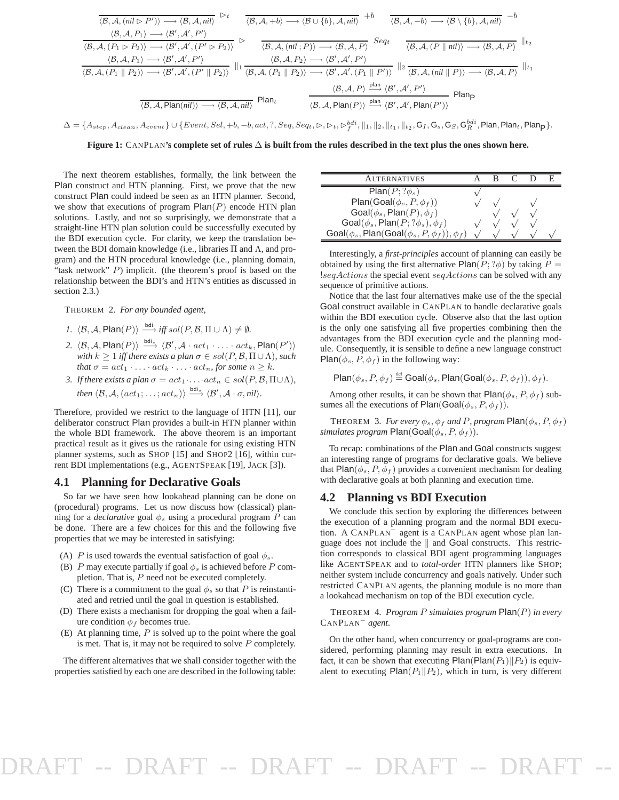$$
\frac{\langle B, A, (nil \rhd P') \rangle \longrightarrow \langle B, A, nil \rangle}{\langle B, A, P_1 \rangle \longrightarrow \langle B', A', nil \rangle} \rhd t \qquad \frac{\langle B, A, +b \rangle \longrightarrow \langle B \cup \{b\}, A, nil \rangle}{\langle B, A, [P_1 \rhd P_2) \rangle \longrightarrow \langle B', A', P' \rangle} + b \qquad \frac{\langle B, A, -b \rangle \longrightarrow \langle B \setminus \{b\}, A, nil \rangle}{\langle B, A, (P_1 \rhd P_2) \rangle \longrightarrow \langle B', A', (P' \rhd P_2) \rangle} \rhd t \qquad \frac{\langle B, A, (nil \rhd P) \rangle \longrightarrow \langle B, A, P \rangle}{\langle B, A, (nil \rhd P) \rangle \longrightarrow \langle B', A', P' \rangle} \rhd t \qquad \frac{\langle B, A, P_2 \rangle \longrightarrow \langle B', A', P' \rangle}{\langle B, A, (P_1 \rhd P_2) \rangle \longrightarrow \langle B', A', (P' \rhd P_2) \rangle} \|1_{1} \frac{\langle B, A, P_2 \rangle \longrightarrow \langle B', A', P' \rangle}{\langle B, A, (P_1 \rhd P) \rangle} \|2_{2} \frac{\langle B, A, (nil \rhd P) \rangle \longrightarrow \langle B, A, P \rangle}{\langle B, A, (nil \rhd P) \rangle} \|1_{2} \frac{\langle B, A, P \rangle}{\langle B, A, (nil \rhd P) \rangle} + b \qquad \frac{\langle B, A, P \rangle}{\langle B, A, (N \rhd P) \rangle} + b \qquad \frac{\langle B, A, P \rangle}{\langle B, A, (N \rhd P) \rangle} + b \qquad \frac{\langle B, A, P \rangle}{\langle B, A, (N \rhd P) \rangle} \|1_{2} \frac{\langle B, A, P \rangle}{\langle B, A, (N \rhd P) \rangle} + b \qquad \frac{\langle B, A, P \rangle}{\langle B, A, (N \rhd P) \rangle} + b \qquad \frac{\langle B, A, P \rangle}{\langle B, A, (N \rhd P) \rangle} + b \qquad \frac{\langle B, A, P \rangle}{\langle B, A, (N \rhd P) \rangle} + b \qquad \frac{\langle B, A, P \rangle}{\langle B, A, (N \rhd P) \rangle} + b \qquad \frac{\langle B, A, P \rangle}{\langle B, A, (N \rhd P
$$

 $\Delta=\{A_{step},A_{clean},A_{event}\}\cup\{Event,Sel,+b,-b,act,?,Seq,Seq_t,\rhd,\rhd_t,\rhd^{bdi}_f, \lVert_1,\lVert_2,\lVert_{t_1},\lVert_{t_2},\textbf{G}_I,\textbf{G}_s,\textbf{G}_S,\textbf{G}^{bdi}_R, \textsf{Plan}, \textsf{Plan}_t,\textsf{Plan}_f\}.$ 

**Figure 1:** CANPLAN**'s complete set of rules** ∆ **is built from the rules described in the text plus the ones shown here.**

The next theorem establishes, formally, the link between the Plan construct and HTN planning. First, we prove that the new construct Plan could indeed be seen as an HTN planner. Second, we show that executions of program  $Plan(P)$  encode HTN plan solutions. Lastly, and not so surprisingly, we demonstrate that a straight-line HTN plan solution could be successfully executed by the BDI execution cycle. For clarity, we keep the translation between the BDI domain knowledge (i.e., libraries  $\Pi$  and  $\Lambda$ , and program) and the HTN procedural knowledge (i.e., planning domain, "task network"  $P$ ) implicit. (the theorem's proof is based on the relationship between the BDI's and HTN's entities as discussed in section 2.3.)

THEOREM 2. *For any bounded agent,*

- *1.*  $\langle \mathcal{B}, \mathcal{A}, \mathsf{Plan}(P) \rangle \xrightarrow{\text{bdi}} \text{iff} \text{sol}(P, \mathcal{B}, \Pi \cup \Lambda) \neq \emptyset$ .
- 2.  $\langle \mathcal{B}, \mathcal{A}, \mathsf{Plan}(P) \rangle \stackrel{\mathsf{bdi}_*}{\longrightarrow} \langle \mathcal{B}', \mathcal{A} \cdot act_1 \cdot \ldots \cdot act_k, \mathsf{Plan}(P') \rangle$ *with*  $k \geq 1$  *iff there exists a plan*  $\sigma \in sol(P, \mathcal{B}, \Pi \cup \Lambda)$ *, such that*  $\sigma = act_1 \cdot \ldots \cdot act_k \cdot \ldots \cdot act_n$ *, for some*  $n \geq k$ *.*
- *3. If there exists a plan*  $\sigma = act_1 \cdot ... \cdot act_n \in sol(P, \mathcal{B}, \Pi \cup \Lambda)$ *, then*  $\langle \mathcal{B}, \mathcal{A}, (act_1; \ldots; act_n) \rangle \stackrel{\text{bdi}_*}{\longrightarrow} \langle \mathcal{B}', \mathcal{A} \cdot \sigma, nil \rangle.$

Therefore, provided we restrict to the language of HTN [11], our deliberator construct Plan provides a built-in HTN planner within the whole BDI framework. The above theorem is an important practical result as it gives us the rationale for using existing HTN planner systems, such as SHOP [15] and SHOP2 [16], within current BDI implementations (e.g., AGENTSPEAK [19], JACK [3]).

#### **4.1 Planning for Declarative Goals**

So far we have seen how lookahead planning can be done on (procedural) programs. Let us now discuss how (classical) planning for a *declarative* goal  $\phi_s$  using a procedural program P can be done. There are a few choices for this and the following five properties that we may be interested in satisfying:

- (A) P is used towards the eventual satisfaction of goal  $\phi_s$ .
- (B) P may execute partially if goal  $\phi_s$  is achieved before P completion. That is, P need not be executed completely.
- (C) There is a commitment to the goal  $\phi_s$  so that P is reinstantiated and retried until the goal in question is established.
- (D) There exists a mechanism for dropping the goal when a failure condition  $\phi_f$  becomes true.
- (E) At planning time,  $P$  is solved up to the point where the goal is met. That is, it may not be required to solve  $P$  completely.

The different alternatives that we shall consider together with the properties satisfied by each one are described in the following table:

| <b>LTERNATIVES</b>                                                |  |  |  |
|-------------------------------------------------------------------|--|--|--|
| $Plan(P; ?\phi_s)$                                                |  |  |  |
| Plan(Goal( $\phi_s, P, \phi_f$ ))                                 |  |  |  |
| Goal( $\phi_s$ , Plan(P), $\phi_f$ )                              |  |  |  |
| Goal( $\phi_s$ , Plan( $P$ ; ? $\phi_s$ ), $\phi_f$ )             |  |  |  |
| Goal( $\phi_s$ , Plan(Goal( $\phi_s$ , P, $\phi_f$ )), $\phi_f$ ) |  |  |  |

Interestingly, a *first-principles* account of planning can easily be obtained by using the first alternative Plan( $P$ ; ? $\phi$ ) by taking  $P =$ !seqActions the special event seqActions can be solved with any sequence of primitive actions.

Notice that the last four alternatives make use of the the special Goal construct available in CANPLAN to handle declarative goals within the BDI execution cycle. Observe also that the last option is the only one satisfying all five properties combining then the advantages from the BDI execution cycle and the planning module. Consequently, it is sensible to define a new language construct Plan( $\phi_s$ ,  $P$ ,  $\phi_f$ ) in the following way:

 $\mathsf{Plan}(\phi_s, P, \phi_f) \stackrel{\text{def}}{=} \mathsf{Goal}(\phi_s, \mathsf{Plan}(\mathsf{Goal}(\phi_s, P, \phi_f)), \phi_f).$ 

Among other results, it can be shown that  $Plan(\phi_s, P, \phi_f)$  subsumes all the executions of Plan(Goal( $\phi_s$ ,  $P$ ,  $\phi$ <sub>f</sub>)).

THEOREM 3. *For every*  $\phi_s$ ,  $\phi_f$  *and P*, *program*  $\textsf{Plan}(\phi_s, P, \phi_f)$ *simulates program*  $Plan(Goal(\phi_s, P, \phi_f)).$ 

To recap: combinations of the Plan and Goal constructs suggest an interesting range of programs for declarative goals. We believe that Plan( $\phi_s$ , P,  $\phi_f$ ) provides a convenient mechanism for dealing with declarative goals at both planning and execution time.

#### **4.2 Planning vs BDI Execution**

We conclude this section by exploring the differences between the execution of a planning program and the normal BDI execution. A CANPLAN<sup>−</sup> agent is a CANPLAN agent whose plan language does not include the  $\parallel$  and Goal constructs. This restriction corresponds to classical BDI agent programming languages like AGENTSPEAK and to *total-order* HTN planners like SHOP; neither system include concurrency and goals natively. Under such restricted CANPLAN agents, the planning module is no more than a lookahead mechanism on top of the BDI execution cycle.

THEOREM 4. *Program* P *simulates program* Plan(P) *in every* CANPLAN<sup>−</sup> *agent.*

On the other hand, when concurrency or goal-programs are considered, performing planning may result in extra executions. In fact, it can be shown that executing  $Plan(Plan(P_1)||P_2)$  is equivalent to executing  $Plan(P_1||P_2)$ , which in turn, is very different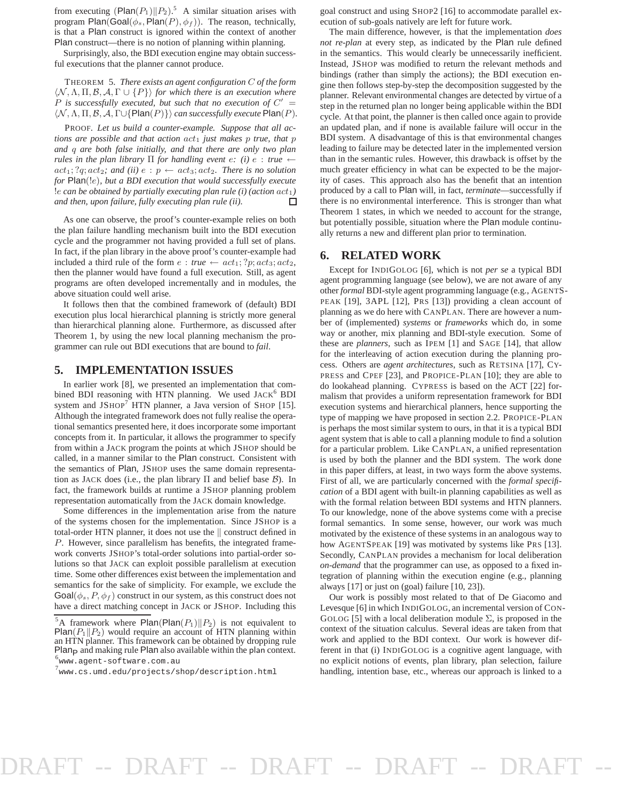from executing  $(Plan(P_1)||P_2)$ .<sup>5</sup> A similar situation arises with program Plan(Goal( $\phi_s$ , Plan(P),  $\phi_f$ )). The reason, technically, is that a Plan construct is ignored within the context of another Plan construct—there is no notion of planning within planning.

Surprisingly, also, the BDI execution engine may obtain successful executions that the planner cannot produce.

THEOREM 5. *There exists an agent configuration* C *of the form*  $\langle \mathcal{N}, \Lambda, \Pi, \mathcal{B}, \mathcal{A}, \Gamma \cup \{P\} \rangle$  *for which there is an execution where*  $P$  is successfully executed, but such that no execution of  $C' =$  $\langle \mathcal{N}, \Lambda, \Pi, \mathcal{B}, \mathcal{A}, \Gamma \cup \{ \text{Plan}(P) \} \rangle$  *can successfully execute* Plan(*P*).

PROOF. *Let us build a counter-example. Suppose that all actions are possible and that action*  $act_1$  *just makes p true, that p and* q *are both false initially, and that there are only two plan rules in the plan library*  $\Pi$  *for handling event e: (i)*  $e$  : *true*  $\leftarrow$  $act_1$ ; ?q;  $act_2$ ; and (ii)  $e : p \leftarrow act_3$ ;  $act_2$ . There is no solution *for* Plan(!e)*, but a BDI execution that would successfully execute* !e *can be obtained by partially executing plan rule (i) (action* act1*) and then, upon failure, fully executing plan rule (ii).* П

As one can observe, the proof's counter-example relies on both the plan failure handling mechanism built into the BDI execution cycle and the programmer not having provided a full set of plans. In fact, if the plan library in the above proof's counter-example had included a third rule of the form  $e : true \leftarrow act_1; ?p; act_3; act_2$ , then the planner would have found a full execution. Still, as agent programs are often developed incrementally and in modules, the above situation could well arise.

It follows then that the combined framework of (default) BDI execution plus local hierarchical planning is strictly more general than hierarchical planning alone. Furthermore, as discussed after Theorem 1, by using the new local planning mechanism the programmer can rule out BDI executions that are bound to *fail*.

#### **5. IMPLEMENTATION ISSUES**

In earlier work [8], we presented an implementation that combined BDI reasoning with HTN planning. We used JACK<sup>6</sup> BDI system and  $JSHOP<sup>7</sup> HTN$  planner, a Java version of SHOP [15]. Although the integrated framework does not fully realise the operational semantics presented here, it does incorporate some important concepts from it. In particular, it allows the programmer to specify from within a JACK program the points at which JSHOP should be called, in a manner similar to the Plan construct. Consistent with the semantics of Plan, JSHOP uses the same domain representation as JACK does (i.e., the plan library  $\Pi$  and belief base  $\beta$ ). In fact, the framework builds at runtime a JSHOP planning problem representation automatically from the JACK domain knowledge.

Some differences in the implementation arise from the nature of the systems chosen for the implementation. Since JSHOP is a total-order HTN planner, it does not use the  $\parallel$  construct defined in P. However, since parallelism has benefits, the integrated framework converts JSHOP's total-order solutions into partial-order solutions so that JACK can exploit possible parallelism at execution time. Some other differences exist between the implementation and semantics for the sake of simplicity. For example, we exclude the  $\text{Goal}(\phi_s, P, \phi_f)$  construct in our system, as this construct does not have a direct matching concept in JACK or JSHOP. Including this

goal construct and using SHOP2 [16] to accommodate parallel execution of sub-goals natively are left for future work.

The main difference, however, is that the implementation *does not re-plan* at every step, as indicated by the Plan rule defined in the semantics. This would clearly be unnecessarily inefficient. Instead, JSHOP was modified to return the relevant methods and bindings (rather than simply the actions); the BDI execution engine then follows step-by-step the decomposition suggested by the planner. Relevant environmental changes are detected by virtue of a step in the returned plan no longer being applicable within the BDI cycle. At that point, the planner is then called once again to provide an updated plan, and if none is available failure will occur in the BDI system. A disadvantage of this is that environmental changes leading to failure may be detected later in the implemented version than in the semantic rules. However, this drawback is offset by the much greater efficiency in what can be expected to be the majority of cases. This approach also has the benefit that an intention produced by a call to Plan will, in fact, *terminate*—successfully if there is no environmental interference. This is stronger than what Theorem 1 states, in which we needed to account for the strange, but potentially possible, situation where the Plan module continually returns a new and different plan prior to termination.

#### **6. RELATED WORK**

Except for INDIGOLOG [6], which is not *per se* a typical BDI agent programming language (see below), we are not aware of any other *formal* BDI-style agent programming language (e.g., AGENTS-PEAK [19], 3APL [12], PRS [13]) providing a clean account of planning as we do here with CANPLAN. There are however a number of (implemented) *systems* or *frameworks* which do, in some way or another, mix planning and BDI-style execution. Some of these are *planners*, such as IPEM [1] and SAGE [14], that allow for the interleaving of action execution during the planning process. Others are *agent architectures*, such as RETSINA [17], CY-PRESS and CPEF [23], and PROPICE-PLAN [10]; they are able to do lookahead planning. CYPRESS is based on the ACT [22] formalism that provides a uniform representation framework for BDI execution systems and hierarchical planners, hence supporting the type of mapping we have proposed in section 2.2. PROPICE-PLAN is perhaps the most similar system to ours, in that it is a typical BDI agent system that is able to call a planning module to find a solution for a particular problem. Like CANPLAN, a unified representation is used by both the planner and the BDI system. The work done in this paper differs, at least, in two ways form the above systems. First of all, we are particularly concerned with the *formal specification* of a BDI agent with built-in planning capabilities as well as with the formal relation between BDI systems and HTN planners. To our knowledge, none of the above systems come with a precise formal semantics. In some sense, however, our work was much motivated by the existence of these systems in an analogous way to how AGENTSPEAK [19] was motivated by systems like PRS [13]. Secondly, CANPLAN provides a mechanism for local deliberation *on-demand* that the programmer can use, as opposed to a fixed integration of planning within the execution engine (e.g., planning always [17] or just on (goal) failure [10, 23]).

Our work is possibly most related to that of De Giacomo and Levesque [6] in which INDIGOLOG, an incremental version of CON-GOLOG [5] with a local deliberation module  $\Sigma$ , is proposed in the context of the situation calculus. Several ideas are taken from that work and applied to the BDI context. Our work is however different in that (i) INDIGOLOG is a cognitive agent language, with no explicit notions of events, plan library, plan selection, failure handling, intention base, etc., whereas our approach is linked to a

<sup>&</sup>lt;sup>5</sup>A framework where Plan(Plan( $P_1$ )|| $P_2$ ) is not equivalent to  $Plan(P_1||P_2)$  would require an account of HTN planning within an HTN planner. This framework can be obtained by dropping rule  $Plan<sub>P</sub>$  and making rule Plan also available within the plan context. 6 www.agent-software.com.au

 $^7$ www.cs.umd.edu/projects/shop/description.html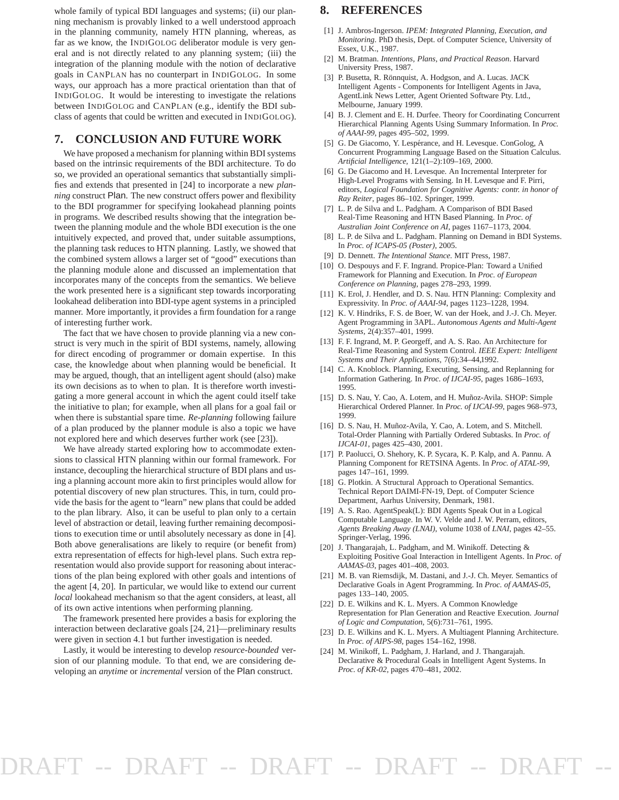whole family of typical BDI languages and systems; (ii) our planning mechanism is provably linked to a well understood approach in the planning community, namely HTN planning, whereas, as far as we know, the INDIGOLOG deliberator module is very general and is not directly related to any planning system; (iii) the integration of the planning module with the notion of declarative goals in CANPLAN has no counterpart in INDIGOLOG. In some ways, our approach has a more practical orientation than that of INDIGOLOG. It would be interesting to investigate the relations between INDIGOLOG and CANPLAN (e.g., identify the BDI subclass of agents that could be written and executed in INDIGOLOG).

#### **7. CONCLUSION AND FUTURE WORK**

We have proposed a mechanism for planning within BDI systems based on the intrinsic requirements of the BDI architecture. To do so, we provided an operational semantics that substantially simplifies and extends that presented in [24] to incorporate a new *planning* construct Plan. The new construct offers power and flexibility to the BDI programmer for specifying lookahead planning points in programs. We described results showing that the integration between the planning module and the whole BDI execution is the one intuitively expected, and proved that, under suitable assumptions, the planning task reduces to HTN planning. Lastly, we showed that the combined system allows a larger set of "good" executions than the planning module alone and discussed an implementation that incorporates many of the concepts from the semantics. We believe the work presented here is a significant step towards incorporating lookahead deliberation into BDI-type agent systems in a principled manner. More importantly, it provides a firm foundation for a range of interesting further work.

The fact that we have chosen to provide planning via a new construct is very much in the spirit of BDI systems, namely, allowing for direct encoding of programmer or domain expertise. In this case, the knowledge about when planning would be beneficial. It may be argued, though, that an intelligent agent should (also) make its own decisions as to when to plan. It is therefore worth investigating a more general account in which the agent could itself take the initiative to plan; for example, when all plans for a goal fail or when there is substantial spare time. *Re-planning* following failure of a plan produced by the planner module is also a topic we have not explored here and which deserves further work (see [23]).

We have already started exploring how to accommodate extensions to classical HTN planning within our formal framework. For instance, decoupling the hierarchical structure of BDI plans and using a planning account more akin to first principles would allow for potential discovery of new plan structures. This, in turn, could provide the basis for the agent to "learn" new plans that could be added to the plan library. Also, it can be useful to plan only to a certain level of abstraction or detail, leaving further remaining decompositions to execution time or until absolutely necessary as done in [4]. Both above generalisations are likely to require (or benefit from) extra representation of effects for high-level plans. Such extra representation would also provide support for reasoning about interactions of the plan being explored with other goals and intentions of the agent [4, 20]. In particular, we would like to extend our current *local* lookahead mechanism so that the agent considers, at least, all of its own active intentions when performing planning.

The framework presented here provides a basis for exploring the interaction between declarative goals [24, 21]—preliminary results were given in section 4.1 but further investigation is needed.

Lastly, it would be interesting to develop *resource-bounded* version of our planning module. To that end, we are considering developing an *anytime* or *incremental* version of the Plan construct.

#### **8. REFERENCES**

- [1] J. Ambros-Ingerson. *IPEM: Integrated Planning, Execution, and Monitoring*. PhD thesis, Dept. of Computer Science, University of Essex, U.K., 1987.
- [2] M. Bratman. *Intentions, Plans, and Practical Reason*. Harvard University Press, 1987.
- [3] P. Busetta, R. Rönnquist, A. Hodgson, and A. Lucas. JACK Intelligent Agents - Components for Intelligent Agents in Java, AgentLink News Letter, Agent Oriented Software Pty. Ltd., Melbourne, January 1999.
- [4] B. J. Clement and E. H. Durfee. Theory for Coordinating Concurrent Hierarchical Planning Agents Using Summary Information. In *Proc. of AAAI-99*, pages 495–502, 1999.
- [5] G. De Giacomo, Y. Lespérance, and H. Levesque. ConGolog, A Concurrent Programming Language Based on the Situation Calculus. *Artificial Intelligence*, 121(1–2):109–169, 2000.
- [6] G. De Giacomo and H. Levesque. An Incremental Interpreter for High-Level Programs with Sensing. In H. Levesque and F. Pirri, editors, *Logical Foundation for Cognitive Agents: contr. in honor of Ray Reiter*, pages 86–102. Springer, 1999.
- [7] L. P. de Silva and L. Padgham. A Comparison of BDI Based Real-Time Reasoning and HTN Based Planning. In *Proc. of Australian Joint Conference on AI*, pages 1167–1173, 2004.
- [8] L. P. de Silva and L. Padgham. Planning on Demand in BDI Systems. In *Proc. of ICAPS-05 (Poster)*, 2005.
- [9] D. Dennett. *The Intentional Stance*. MIT Press, 1987.
- [10] O. Despouys and F. F. Ingrand. Propice-Plan: Toward a Unified Framework for Planning and Execution. In *Proc. of European Conference on Planning*, pages 278–293, 1999.
- [11] K. Erol, J. Hendler, and D. S. Nau. HTN Planning: Complexity and Expressivity. In *Proc. of AAAI-94*, pages 1123–1228, 1994.
- [12] K. V. Hindriks, F. S. de Boer, W. van der Hoek, and J.-J. Ch. Meyer. Agent Programming in 3APL. *Autonomous Agents and Multi-Agent Systems*, 2(4):357–401, 1999.
- [13] F. F. Ingrand, M. P. Georgeff, and A. S. Rao. An Architecture for Real-Time Reasoning and System Control. *IEEE Expert: Intelligent Systems and Their Applications*, 7(6):34–44,1992.
- [14] C. A. Knoblock. Planning, Executing, Sensing, and Replanning for Information Gathering. In *Proc. of IJCAI-95*, pages 1686–1693, 1995.
- [15] D. S. Nau, Y. Cao, A. Lotem, and H. Muñoz-Avila. SHOP: Simple Hierarchical Ordered Planner. In *Proc. of IJCAI-99*, pages 968–973, 1999.
- [16] D. S. Nau, H. Muñoz-Avila, Y. Cao, A. Lotem, and S. Mitchell. Total-Order Planning with Partially Ordered Subtasks. In *Proc. of IJCAI-01*, pages 425–430, 2001.
- [17] P. Paolucci, O. Shehory, K. P. Sycara, K. P. Kalp, and A. Pannu. A Planning Component for RETSINA Agents. In *Proc. of ATAL-99*, pages 147–161, 1999.
- [18] G. Plotkin. A Structural Approach to Operational Semantics. Technical Report DAIMI-FN-19, Dept. of Computer Science Department, Aarhus University, Denmark, 1981.
- [19] A. S. Rao. AgentSpeak(L): BDI Agents Speak Out in a Logical Computable Language. In W. V. Velde and J. W. Perram, editors, *Agents Breaking Away (LNAI)*, volume 1038 of *LNAI*, pages 42–55. Springer-Verlag, 1996.
- [20] J. Thangarajah, L. Padgham, and M. Winikoff. Detecting & Exploiting Positive Goal Interaction in Intelligent Agents. In *Proc. of AAMAS-03*, pages 401–408, 2003.
- [21] M. B. van Riemsdijk, M. Dastani, and J.-J. Ch. Meyer. Semantics of Declarative Goals in Agent Programming. In *Proc. of AAMAS-05*, pages 133–140, 2005.
- [22] D. E. Wilkins and K. L. Myers. A Common Knowledge Representation for Plan Generation and Reactive Execution. *Journal of Logic and Computation*, 5(6):731–761, 1995.
- [23] D. E. Wilkins and K. L. Myers. A Multiagent Planning Architecture. In *Proc. of AIPS-98*, pages 154–162, 1998.
- [24] M. Winikoff, L. Padgham, J. Harland, and J. Thangarajah. Declarative & Procedural Goals in Intelligent Agent Systems. In *Proc. of KR-02*, pages 470–481, 2002.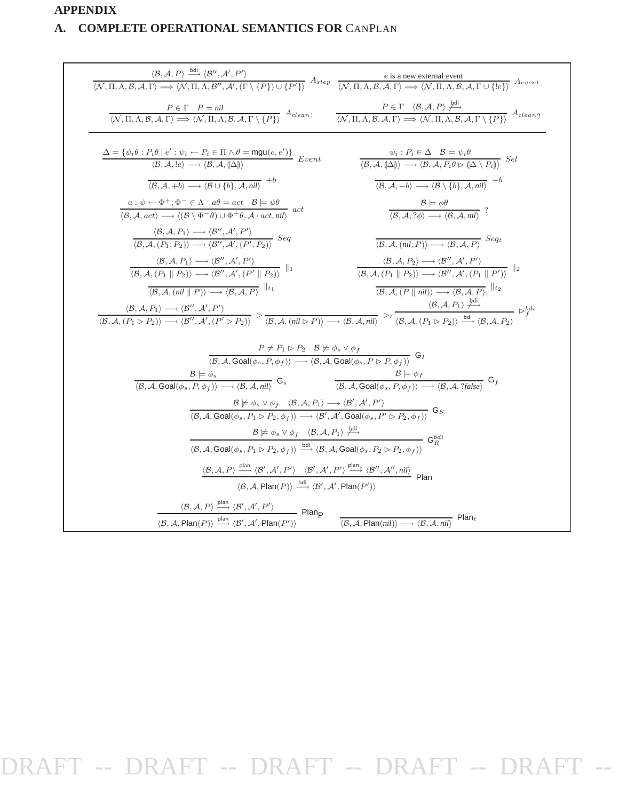# **APPENDIX**

# **A. COMPLETE OPERATIONAL SEMANTICS FOR** CANPLAN

|                                                                                                                                                                                                                                                                                                                                                                                                                                                           | $\frac{\langle \mathcal{B}, \mathcal{A}, P \rangle \stackrel{\text{bdi}}{\longrightarrow} \langle \mathcal{B}'', \mathcal{A}', P' \rangle}{\langle \mathcal{N}, \Pi, \Lambda, \mathcal{B}, \mathcal{A}, \Gamma \rangle \Longrightarrow \langle \mathcal{N}, \Pi, \Lambda, \mathcal{B}'', \mathcal{A}', (\Gamma \setminus \{P\}) \cup \{P'\} \rangle} \ A_{step}$ | <i>e</i> is a new external event<br>$\langle \mathcal{N}, \Pi, \Lambda, \mathcal{B}, \mathcal{A}, \Gamma \rangle \Longrightarrow \langle \mathcal{N}, \Pi, \Lambda, \mathcal{B}, \mathcal{A}, \Gamma \cup \{ e\}\rangle$ $A_{event}$                                                                                                                                                                                                                                                                                                                  |  |  |  |
|-----------------------------------------------------------------------------------------------------------------------------------------------------------------------------------------------------------------------------------------------------------------------------------------------------------------------------------------------------------------------------------------------------------------------------------------------------------|------------------------------------------------------------------------------------------------------------------------------------------------------------------------------------------------------------------------------------------------------------------------------------------------------------------------------------------------------------------|-------------------------------------------------------------------------------------------------------------------------------------------------------------------------------------------------------------------------------------------------------------------------------------------------------------------------------------------------------------------------------------------------------------------------------------------------------------------------------------------------------------------------------------------------------|--|--|--|
|                                                                                                                                                                                                                                                                                                                                                                                                                                                           | $P \in \Gamma$ $P = \textit{nil}$<br>$\langle N, \Pi, \Lambda, B, A, \Gamma \rangle \Longrightarrow \langle N, \Pi, \Lambda, B, A, \Gamma \setminus \{P\} \rangle$ $A_{clean1}$                                                                                                                                                                                  | $\frac{P \in \Gamma \quad \langle \mathcal{B}, \mathcal{A}, P \rangle \xrightarrow{\text{per}}}{\langle \mathcal{N}, \Pi, \Lambda, \mathcal{B}, \mathcal{A}, \Gamma \rangle \Longrightarrow \langle \mathcal{N}, \Pi, \Lambda, \mathcal{B}, \mathcal{A}, \Gamma \setminus \{P \} \rangle} A_{clean2}$                                                                                                                                                                                                                                                 |  |  |  |
|                                                                                                                                                                                                                                                                                                                                                                                                                                                           | $\frac{\Delta = \{\psi_i \theta : P_i \theta \mid e': \psi_i \leftarrow P_i \in \Pi \land \theta = \text{mgu}(e, e')\}}{\langle \mathcal{B}, \mathcal{A}, \text{!} e \rangle \longrightarrow \langle \mathcal{B}, \mathcal{A}, \text{!} \Delta \text{!}} Evert}$                                                                                                 | $\psi_i : P_i \in \Delta \quad \mathcal{B} \models \psi_i \theta$<br>$\langle \mathcal{B}, \mathcal{A}, \mathbb{A} \rangle \rangle \longrightarrow \langle \mathcal{B}, \mathcal{A}, P_i \theta \triangleright \mathbb{A} \setminus P_i \mathbb{A} \rangle \quad Sel$                                                                                                                                                                                                                                                                                 |  |  |  |
|                                                                                                                                                                                                                                                                                                                                                                                                                                                           | $\langle B, A, +b \rangle \longrightarrow \langle B \cup \{b\}, A, nil \rangle$ <sup>+b</sup>                                                                                                                                                                                                                                                                    | $\langle B, A, -b \rangle \longrightarrow \langle B \setminus \{b\}, A, nil \rangle$                                                                                                                                                                                                                                                                                                                                                                                                                                                                  |  |  |  |
|                                                                                                                                                                                                                                                                                                                                                                                                                                                           | $a: \psi \leftarrow \Phi^+; \Phi^- \in \Lambda \quad a\theta = act \quad \mathcal{B} \models \psi\theta$<br>$\langle \mathcal{B} \mid A, act \rangle \longrightarrow \langle (\mathcal{B} \setminus \Phi^- \theta) \cup \Phi^+ \theta, \mathcal{A} \cdot act, nil \rangle$ act                                                                                   | $\frac{\mathcal{B} \models \phi \theta}{\langle \mathcal{B}, \mathcal{A}, ?\phi \rangle \longrightarrow \langle \mathcal{B}, \mathcal{A}, nil \rangle}$ ?                                                                                                                                                                                                                                                                                                                                                                                             |  |  |  |
|                                                                                                                                                                                                                                                                                                                                                                                                                                                           | $\langle \mathcal{B}, \mathcal{A}, P_1 \rangle \longrightarrow \langle \mathcal{B}'', \mathcal{A}', P' \rangle$<br>$\langle \mathcal{B}, \mathcal{A}, (P_1; P_2) \rangle \longrightarrow \langle \mathcal{B}'', \mathcal{A}', (P'; P_2) \rangle$ Seq                                                                                                             | $\langle \mathcal{B}, \mathcal{A}, (nil; P) \rangle \longrightarrow \langle \mathcal{B}, \mathcal{A}, P \rangle$ Seq                                                                                                                                                                                                                                                                                                                                                                                                                                  |  |  |  |
|                                                                                                                                                                                                                                                                                                                                                                                                                                                           | $\langle \mathcal{B}, \mathcal{A}, P_1 \rangle \longrightarrow \langle \mathcal{B}'', \mathcal{A}', P' \rangle$<br>$\langle \mathcal{B}, \mathcal{A}, (P_1 \parallel P_2) \rangle \longrightarrow \langle \mathcal{B}'', \mathcal{A}', (P' \parallel P_2) \rangle$                                                                                               | $\langle \mathcal{B}, \mathcal{A}, P_2 \rangle \longrightarrow \langle \mathcal{B}'', \mathcal{A}', P' \rangle$<br>$\langle \mathcal{B}, \mathcal{A}, (P_1 \parallel P_2) \rangle \longrightarrow \langle \mathcal{B}'', \mathcal{A}', (P_1 \parallel P') \rangle$                                                                                                                                                                                                                                                                                    |  |  |  |
|                                                                                                                                                                                                                                                                                                                                                                                                                                                           | $\langle \mathcal{B}, \mathcal{A}, (\textit{nil} \parallel P) \rangle \longrightarrow \langle \mathcal{B}, \mathcal{A}, P \rangle$                                                                                                                                                                                                                               | $\langle \mathcal{B}, \mathcal{A}, (P \parallel nil) \rangle \longrightarrow \langle \mathcal{B}, \mathcal{A}, P \rangle$                                                                                                                                                                                                                                                                                                                                                                                                                             |  |  |  |
|                                                                                                                                                                                                                                                                                                                                                                                                                                                           |                                                                                                                                                                                                                                                                                                                                                                  | $\langle B, A, P_1 \rangle \longrightarrow \langle B'', A', P' \rangle$<br>$\langle B, A, (P_1 \triangleright P_2) \rangle \longrightarrow \langle B'', A', (P' \triangleright P_2) \rangle$<br>$\longrightarrow \langle B, A, (ni \triangleright P) \rangle \longrightarrow \langle B, A, nil \rangle$<br>$\longrightarrow \langle B, A, (P_1 \triangleright P_2) \rangle$<br>$\longrightarrow \langle B, A, P_1 \rangle \longrightarrow \langle B, A, P_2 \rangle$<br>$\longrightarrow \langle B', A, P_1 \triangleright \langle B', A', P \rangle$ |  |  |  |
| $P \neq P_1 \triangleright P_2 \quad B \not\models \phi_s \vee \phi_f$<br>(B. A. Goal( $\phi_s$ , P, $\phi_f$ )) $\longrightarrow$ (B. A. Goal( $\phi_s$ , P $\triangleright$ P, $\phi_f$ ))                                                                                                                                                                                                                                                              |                                                                                                                                                                                                                                                                                                                                                                  |                                                                                                                                                                                                                                                                                                                                                                                                                                                                                                                                                       |  |  |  |
|                                                                                                                                                                                                                                                                                                                                                                                                                                                           | $\frac{\mathcal{B} \models \phi_s}{\langle \mathcal{B}, \mathcal{A}, \text{Goal}(\phi_s, P, \phi_f) \rangle \longrightarrow \langle \mathcal{B}, \mathcal{A}, \text{nil} \rangle}$ G <sub>s</sub>                                                                                                                                                                | $B \models \phi_f$<br>(B. A. Goal( $\phi_s$ , P. $\phi_s$ )) $\longrightarrow$ (B. A. ?false)                                                                                                                                                                                                                                                                                                                                                                                                                                                         |  |  |  |
| $\frac{\mathcal{B} \not\models \phi_s \lor \phi_f \quad \langle \mathcal{B}, \mathcal{A}, P_1 \rangle \longrightarrow \langle \mathcal{B}', \mathcal{A}', P' \rangle}{\langle \mathcal{B}, \mathcal{A}, \text{Goal}(\phi_s, P_1 \triangleright P_2, \phi_f) \rangle \longrightarrow \langle \mathcal{B}', \mathcal{A}', \text{Goal}(\phi_s, P' \triangleright P_2, \phi_f) \rangle} \ G_S$                                                                |                                                                                                                                                                                                                                                                                                                                                                  |                                                                                                                                                                                                                                                                                                                                                                                                                                                                                                                                                       |  |  |  |
| $\frac{\mathcal{B} \not\models \phi_s \lor \phi_f \quad \langle \mathcal{B}, \mathcal{A}, P_1 \rangle \not\stackrel{\mathsf{bdi}}{\longrightarrow}}{\langle \mathcal{B}, \mathcal{A}, \mathsf{Goal}(\phi_s, P_1 \rhd P_2, \phi_f) \rangle \xrightarrow{\mathsf{bdi}} \langle \mathcal{B}, \mathcal{A}, \mathsf{Goal}(\phi_s, P_2 \rhd P_2, \phi_f) \rangle} \ \mathsf{G}_R^{\mathsf{bdi}}$                                                                |                                                                                                                                                                                                                                                                                                                                                                  |                                                                                                                                                                                                                                                                                                                                                                                                                                                                                                                                                       |  |  |  |
|                                                                                                                                                                                                                                                                                                                                                                                                                                                           |                                                                                                                                                                                                                                                                                                                                                                  |                                                                                                                                                                                                                                                                                                                                                                                                                                                                                                                                                       |  |  |  |
| $\langle \mathcal{B}, \mathcal{A}, P \rangle \stackrel{\text{plan}}{\longrightarrow} \langle \mathcal{B}', \mathcal{A}', P' \rangle$ $\langle \mathcal{B}', \mathcal{A}', P' \rangle \stackrel{\text{plan}}{\longrightarrow} \langle \mathcal{B}'', \mathcal{A}'', nil \rangle$ Plan<br>$\langle \mathcal{B}, \mathcal{A}, \mathsf{Plan}(P) \rangle \stackrel{\text{bdi}}{\longrightarrow} \langle \mathcal{B}', \mathcal{A}', \mathsf{Plan}(P') \rangle$ |                                                                                                                                                                                                                                                                                                                                                                  |                                                                                                                                                                                                                                                                                                                                                                                                                                                                                                                                                       |  |  |  |
| $\langle B, A, P \rangle \stackrel{\text{plan}}{\longrightarrow} \langle B', A', P' \rangle$ Planp                                                                                                                                                                                                                                                                                                                                                        |                                                                                                                                                                                                                                                                                                                                                                  |                                                                                                                                                                                                                                                                                                                                                                                                                                                                                                                                                       |  |  |  |
|                                                                                                                                                                                                                                                                                                                                                                                                                                                           | $\langle \mathcal{B}, \mathcal{A}, \mathsf{Plan}(P) \rangle \stackrel{\text{plan}}{\longrightarrow} \langle \mathcal{B}', \mathcal{A}', \mathsf{Plan}(P') \rangle$                                                                                                                                                                                               | $\overline{\langle \mathcal{B}, \mathcal{A}, \mathsf{Plan}(nil) \rangle \longrightarrow \langle \mathcal{B}, \mathcal{A}, \mathit{nil} \rangle}$ Plan <sub>t</sub>                                                                                                                                                                                                                                                                                                                                                                                    |  |  |  |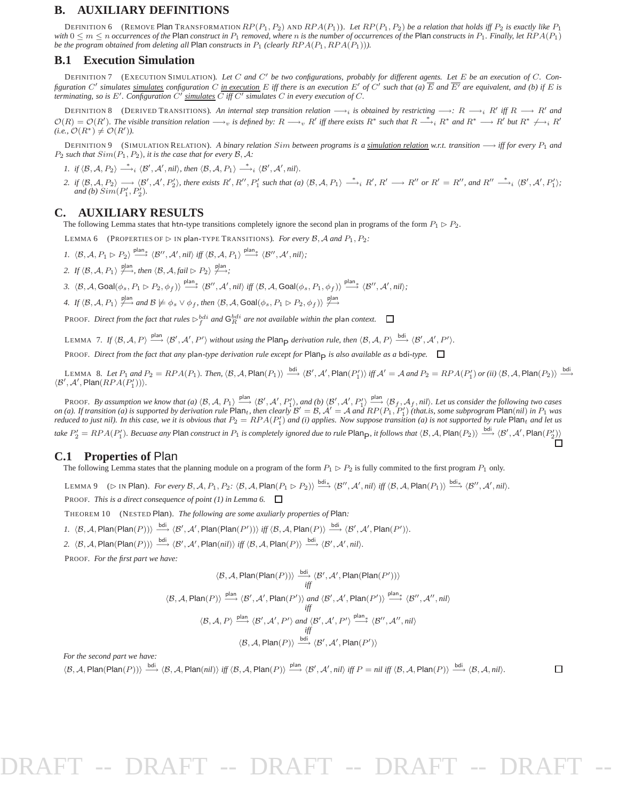#### **B. AUXILIARY DEFINITIONS**

DEFINITION 6 (REMOVE Plan TRANSFORMATION  $RP(P_1, P_2)$  AND  $RPA(P_1)$ ). *Let*  $RP(P_1, P_2)$  *be a relation that holds iff*  $P_2$  *is exactly like*  $P_1$ *with*  $0 \le m \le n$  *occurrences of the* Plan *construct in*  $P_1$  *removed, where n is the number of occurrences of the* Plan *constructs in*  $P_1$ *. Finally, let*  $RPA(P_1)$ *be the program obtained from deleting all* Plan *constructs in*  $P_1$  *(clearly*  $RPA(P_1, RPA(P_1))$ *).* 

#### **B.1 Execution Simulation**

DEFINITION 7 (EXECUTION SIMULATION). *Let* C *and* C′ *be two configurations, probably for different agents. Let* E *be an execution of* C*. Configuration*  $C'$  simulates <u>simulates</u> configuration C <u>in execution</u> E iff there is an execution E' of C' such that (a)  $\overline{E}$  and  $\overline{E'}$  are equivalent, and (b) if E is *terminating, so is*  $E'$ *. Configuration*  $\check{C'}$  *simulates*  $\overline{C}$  *iff*  $C'$  *simulates*  $C$  *in every execution of*  $C$ *.* 

DEFINITION 8 (DERIVED TRANSITIONS). An internal step transition relation  $\longrightarrow_i$  is obtained by restricting  $\longrightarrow_i R \longrightarrow R'$  iff  $R \longrightarrow R'$  and  $\mathcal{O}(R) = \mathcal{O}(R')$ . The visible transition relation  $\longrightarrow_v$  is defined by:  $R \longrightarrow_v R'$  iff there exists  $R^*$  such that  $R \stackrel{*}{\longrightarrow}_i R^*$  and  $R^* \longrightarrow_R R'$  but  $R^* \nrightarrow_i R'$  $(i.e., \mathcal{O}(R^*) \neq \mathcal{O}(R')).$ 

DEFINITION 9 (SIMULATION RELATION). *A binary relation Sim between programs is a simulation relation w.r.t. transition* → *iff for every*  $P_1$  *and*  $P_2$  *such that*  $Sim(P_1, P_2)$ *, it is the case that for every*  $\beta$ *, A:* 

- *1.* if  $\langle B, A, P_2 \rangle \longrightarrow_i \langle B', A', nil \rangle$ , then  $\langle B, A, P_1 \rangle \longrightarrow_i \langle B', A', nil \rangle$ .
- 2. if  $\langle B, A, P_2 \rangle \longrightarrow \langle B', A', P'_2 \rangle$ , there exists  $R', R'', P'_1$  such that (a)  $\langle B, A, P_1 \rangle \longrightarrow_i R', R' \longrightarrow R''$  or  $R' = R'',$  and  $R'' \longrightarrow_i \langle B', A', P'_1 \rangle$ ; *and (b)*  $Sim(P'_1, P'_2)$ *.*

#### **C. AUXILIARY RESULTS**

The following Lemma states that htn-type transitions completely ignore the second plan in programs of the form  $P_1 \triangleright P_2$ .

LEMMA 6 (PROPERTIES OF  $\triangleright$  IN plan-TYPE TRANSITIONS). *For every* B, A and  $P_1$ ,  $P_2$ :

- $1. \ \ \langle \mathcal{B}, \mathcal{A}, P_1 \rhd P_2 \rangle \stackrel{\text{plan}_*}{\longrightarrow} \langle \mathcal{B}'', \mathcal{A}', nil \rangle \ \text{iff} \ \langle \mathcal{B}, \mathcal{A}, P_1 \rangle \stackrel{\text{plan}_*}{\longrightarrow} \langle \mathcal{B}'', \mathcal{A}', nil \rangle;$
- 2. If  $\langle \mathcal{B}, \mathcal{A}, P_1 \rangle \stackrel{\text{plan}}{\longrightarrow}$ *, then*  $\langle \mathcal{B}, \mathcal{A}, \text{fail} \triangleright P_2 \rangle \stackrel{\text{plan}}{\longrightarrow}$ *;*

 $\beta$ .  $\langle \mathcal{B}, \mathcal{A}, \mathsf{Goal}(\phi_s, P_1 \triangleright P_2, \phi_f) \rangle \stackrel{\mathsf{plan}_*}{\longrightarrow} \langle \mathcal{B}'', \mathcal{A}', \mathsf{nil} \rangle \text{ iff } \langle \mathcal{B}, \mathcal{A}, \mathsf{Goal}(\phi_s, P_1, \phi_f) \rangle \stackrel{\mathsf{plan}_*}{\longrightarrow} \langle \mathcal{B}'', \mathcal{A}', \mathsf{nil} \rangle;$ 

*4.* If  $\langle \mathcal{B}, \mathcal{A}, P_1 \rangle \stackrel{\text{plan}}{\longrightarrow}$  *and*  $\mathcal{B} \not\models \phi_s \lor \phi_f$ , then  $\langle \mathcal{B}, \mathcal{A}, \text{Goal}(\phi_s, P_1 \rhd P_2, \phi_f) \rangle \stackrel{\text{plan}}{\longrightarrow}$ 

PROOF. *Direct from the fact that rules*  $\triangleright_f^{bdi}$  and  $\mathsf{G}_R^{bdi}$  are not available within the plan context.

LEMMA 7. If  $\langle \mathcal{B}, \mathcal{A}, P \rangle \stackrel{\text{plan}}{\longrightarrow} \langle \mathcal{B}', \mathcal{A}', P' \rangle$  without using the Plan<sub>P</sub> derivation rule, then  $\langle \mathcal{B}, \mathcal{A}, P \rangle \stackrel{\text{bdi}}{\longrightarrow} \langle \mathcal{B}', \mathcal{A}', P' \rangle$ .

PROOF. *Direct from the fact that any* plan*-type derivation rule except for* PlanP *is also available as a* bdi*-type.*

LEMMA 8. Let  $P_1$  and  $P_2 = RPA(P_1)$ . Then,  $\langle B, A, \mathsf{Plan}(P_1) \rangle \stackrel{\text{bdi}}{\longrightarrow} \langle B', A', \mathsf{Plan}(P'_1) \rangle$  iff  $\mathcal{A}' = A$  and  $P_2 = RPA(P'_1)$  or (ii)  $\langle B, A, \mathsf{Plan}(P_2) \rangle \stackrel{\text{bdi}}{\longrightarrow}$  $\langle \mathcal{B}', \mathcal{A}', {\sf Plan}(RPA(P'_1)) \rangle.$ 

PROOF. By assumption we know that (a)  $\langle B, A, P_1 \rangle \stackrel{\text{plan}}{\longrightarrow} \langle B', A', P'_1 \rangle$  and (b)  $\langle B', A', P'_1 \rangle \stackrel{\text{plan}}{\longrightarrow} \langle B_f, A_f, nil \rangle$ . Let us consider the following two cases *on (a). If transition (a) is supported by derivation rule*  $\text{Plan}_{t}$ , *then clearly*  $\mathcal{B}' = \mathcal{B}$ ,  $\mathcal{A}' = \mathcal{A}$  and  $RP(P_1, P'_1)$  *(that.is, some subprogram*  $\text{Plan}(nil)$  *in*  $P_1$  *was reduced to just nil). In this case, we it is obvious that*  $P_2 = RPA(P'_1)$  *and (i) applies. Now suppose transition (a) is not supported by rule*  $P$  $\alpha$ *h<sub>t</sub> and let us*  $\mathit{take~}P'_2 = RPA(P'_1).~Because~any~Plan~construct~in~P_1~is~completely~is\:ed~due~to~rule~Planp,~it follows~that~\langle\mathcal{B},\mathcal{A},\mathsf{Plan}(P_2)\rangle\stackrel{{\rm bdi}}{\longrightarrow}\langle\mathcal{B}',\mathcal{A}',\mathsf{Plan}(P'_2)\rangle$ 

#### **C.1 Properties of** Plan

The following Lemma states that the planning module on a program of the form  $P_1 \triangleright P_2$  is fully commited to the first program  $P_1$  only.

 $\textsf{LEMMA 9} \quad \textsf{(}\rhd \textsf{IN Plan})\textsf{.} \ \ \textit{For every $\mathcal{B}$, $\mathcal{A}$, $P_1, P_2$: $\langle \mathcal{B}, \mathcal{A}$, } \textsf{Plan}(P_1 \rhd P_2)$} \stackrel{\textsf{bdi}_*}{\longrightarrow} \langle \mathcal{B}^{\prime\prime}, \mathcal{A}^{\prime}, \textit{nil} \rangle \ \textit{iff} \ \langle \mathcal{B}, \mathcal{A}, \textsf{Plan}(P_1) \rangle \stackrel{\textsf{bdi}_*}{\longrightarrow} \langle \mathcal{B}^{\prime\prime}, \mathcal{A}^{\prime}, \textit{$ 

**PROOF.** *This is a direct consequence of point (1) in Lemma 6.*  $\Box$ 

- THEOREM 10 (NESTED Plan). *The following are some axuliarly properties of* Plan*:*
- *1.*  $\langle \mathcal{B}, \mathcal{A}, \mathsf{Plan}(\mathsf{Plan}(P)) \rangle \stackrel{\text{bdi}}{\longrightarrow} \langle \mathcal{B}', \mathcal{A}', \mathsf{Plan}(\mathsf{Plan}(P')) \rangle$  *iff*  $\langle \mathcal{B}, \mathcal{A}, \mathsf{Plan}(P) \rangle \stackrel{\text{bdi}}{\longrightarrow} \langle \mathcal{B}', \mathcal{A}', \mathsf{Plan}(P') \rangle$ .
- 2.  $\langle \mathcal{B}, \mathcal{A}, \mathsf{Plan}(\mathsf{Plan}(P)) \rangle \xrightarrow{\mathsf{bdi}} \langle \mathcal{B}', \mathcal{A}', \mathsf{Plan}(nil) \rangle \text{ iff } \langle \mathcal{B}, \mathcal{A}, \mathsf{Plan}(P) \rangle \xrightarrow{\mathsf{bdi}} \langle \mathcal{B}', \mathcal{A}', nil \rangle.$

PROOF. *For the first part we have:*

$$
\langle \mathcal{B}, \mathcal{A}, \mathsf{Plan}(\mathsf{Plan}(P)) \rangle \xrightarrow{\text{bdi}} \langle \mathcal{B}', \mathcal{A}', \mathsf{Plan}(\mathsf{Plan}(P')) \rangle
$$
  

$$
\langle \mathcal{B}, \mathcal{A}, \mathsf{Plan}(P) \rangle \xrightarrow{\text{plan}} \langle \mathcal{B}', \mathcal{A}', \mathsf{Plan}(P') \rangle \text{ and } \langle \mathcal{B}', \mathcal{A}', \mathsf{Plan}(P') \rangle \xrightarrow{\text{plan}} \langle \mathcal{B}'', \mathcal{A}'', \mathsf{nil} \rangle
$$
  

$$
\langle \mathcal{B}, \mathcal{A}, P \rangle \xrightarrow{\text{plan}} \langle \mathcal{B}', \mathcal{A}', P' \rangle \text{ and } \langle \mathcal{B}', \mathcal{A}', P' \rangle \xrightarrow{\text{plan}} \langle \mathcal{B}'', \mathcal{A}'', \mathsf{nil} \rangle
$$
  

$$
\langle \mathcal{B}, \mathcal{A}, P \rangle \xrightarrow{\text{plan}} \langle \mathcal{B}', \mathcal{A}', P \rangle \xrightarrow{\text{plan}} \langle \mathcal{B}', \mathcal{A}', \mathsf{Plan}(P') \rangle
$$

*For the second part we have:*

 $\langle \mathcal{B}, \mathcal{A}, \mathsf{Plan}(\mathsf{Plan}(P)) \rangle \stackrel{\text{bdi}}{\longrightarrow} \langle \mathcal{B}, \mathcal{A}, \mathsf{Plan}(nil) \rangle \text{ iff } \langle \mathcal{B}, \mathcal{A}, \mathsf{Plan}(P) \rangle \stackrel{\text{plan}}{\longrightarrow} \langle \mathcal{B}', \mathcal{A}', nil \rangle \text{ iff } P = nil \text{ iff } \langle \mathcal{B}, \mathcal{A}, \mathsf{Plan}(P) \rangle \stackrel{\text{bdi}}{\longrightarrow} \langle \mathcal{B}, \mathcal{A}, nil \rangle.$ 

 $\Box$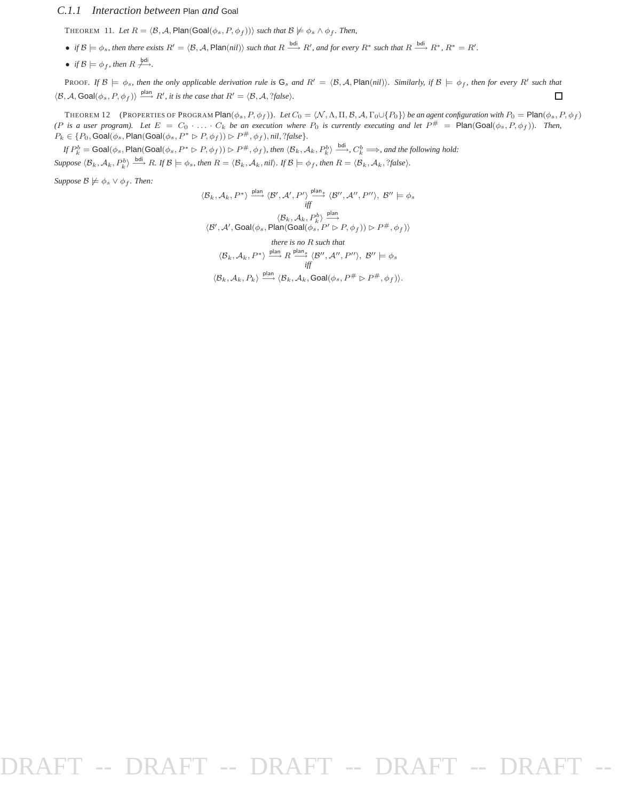#### *C.1.1 Interaction between* Plan *and* Goal

THEOREM 11. Let  $R = \langle \mathcal{B}, \mathcal{A}, \mathsf{Plan}(Goal(\phi_s, P, \phi_f)) \rangle$  *such that*  $\mathcal{B} \not\models \phi_s \land \phi_f$ *. Then,* 

- *if*  $\mathcal{B} \models \phi_s$ , then there exists  $R' = \langle \mathcal{B}, \mathcal{A}, \mathsf{Plan}(nil) \rangle$  such that  $R \stackrel{\text{bdi}}{\longrightarrow} R'$ , and for every  $R^*$  such that  $R \stackrel{\text{bdi}}{\longrightarrow} R^*$ ,  $R^* = R'$ .
- *if*  $\mathcal{B} \models \phi_f$ , then  $R \not\stackrel{\text{bdi}}{\longrightarrow}$ .

PROOF. If  $\mathcal{B} \models \phi_s$ , then the only applicable derivation rule is  $G_s$  and  $R' = \langle \mathcal{B}, \mathcal{A}, \mathsf{Plan}(\textit{nil}) \rangle$ . Similarly, if  $\mathcal{B} \models \phi_f$ , then for every  $R'$  such that  $\langle \mathcal{B}, \mathcal{A}, \text{Goal}(\phi_s, P, \phi_f) \rangle \stackrel{\text{plan}}{\longrightarrow} R'$ , it is the case that  $R' = \langle \mathcal{B}, \mathcal{A}, ?\text{false} \rangle$ .  $\Box$ 

THEOREM 12 (PROPERTIES OF PROGRAM Plan $(\phi_s, P, \phi_f)$ ). Let  $C_0 = \langle \mathcal{N}, \Lambda, \Pi, \mathcal{B}, \mathcal{A}, \Gamma_0 \cup \{P_0\} \rangle$  *be an agent configuration with*  $P_0 = \text{Plan}(\phi_s, P, \phi_f)$ *(P is a user program). Let*  $E = C_0 \cdot \ldots \cdot C_k$  *be an execution where*  $P_0$  *is currently executing and let*  $P^{\#} = \text{Plan(Goal}(\phi_s, P, \phi_f)$ *. Then,*  $P_k \in \{P_0, \textsf{Goal}(\phi_s, \textsf{Plan}(\textsf{Goal}(\phi_s, P^* \rhd P, \phi_f)) \rhd P^{\#}, \phi_f), \textit{nil}, ?\textit{false}\}.$ 

 $\partial f P_k^b = \text{Goal}(\phi_s, \text{Plan}(\text{Goal}(\phi_s, P^* \triangleright P, \phi_f)) \triangleright P^{\#}, \phi_f)$ , then  $\langle \mathcal{B}_k, \mathcal{A}_k, P_k^b \rangle \stackrel{\text{bdi}}{\longrightarrow} C_k^b \Longrightarrow$ , and the following hold:  $\mathcal{L}(\mathcal{B}_k, \mathcal{A}_k, P_k^b) \xrightarrow{\text{bdi}} R$ . If  $\mathcal{B} \models \phi_s$ , then  $R = \langle \mathcal{B}_k, \mathcal{A}_k$ , nil). If  $\mathcal{B} \models \phi_f$ , then  $R = \langle \mathcal{B}_k, \mathcal{A}_k, ?\text{false} \rangle$ .

*Suppose*  $\mathcal{B} \not\models \phi_s \lor \phi_f$ *. Then:* 

$$
\langle \mathcal{B}_k, \mathcal{A}_k, P^* \rangle \xrightarrow{\text{plan}} \langle \mathcal{B}', \mathcal{A}', P' \rangle \xrightarrow{\text{plan}} \langle \mathcal{B}'', \mathcal{A}'', P'' \rangle, \ \mathcal{B}'' \models \phi_s
$$
\n
$$
\xrightarrow{\langle \mathcal{B}_k, \mathcal{A}_k, P^b_k \rangle} \xrightarrow{\text{plan}} \langle \mathcal{B}', \mathcal{A}', \text{Goal}(\phi_s, \text{Plan}(\text{Goal}(\phi_s, P' \rhd P, \phi_f)) \rhd P^\#, \phi_f) \rangle
$$

there is no R such that  
\n
$$
\langle \mathcal{B}_k, \mathcal{A}_k, P^* \rangle \xrightarrow{\text{plan}} R \xrightarrow{\text{plan}} \langle \mathcal{B}^{\prime\prime}, \mathcal{A}^{\prime\prime}, P^{\prime\prime} \rangle, \ \mathcal{B}^{\prime\prime} \models \phi_s
$$
\n
$$
\text{iff}
$$

 $\langle \mathcal{B}_k, \mathcal{A}_k, P_k \rangle \stackrel{\mathsf{plan}}{\longrightarrow} \langle \mathcal{B}_k, \mathcal{A}_k, \mathsf{Goal}(\phi_s, P^\# \rhd P^\#, \phi_f) \rangle.$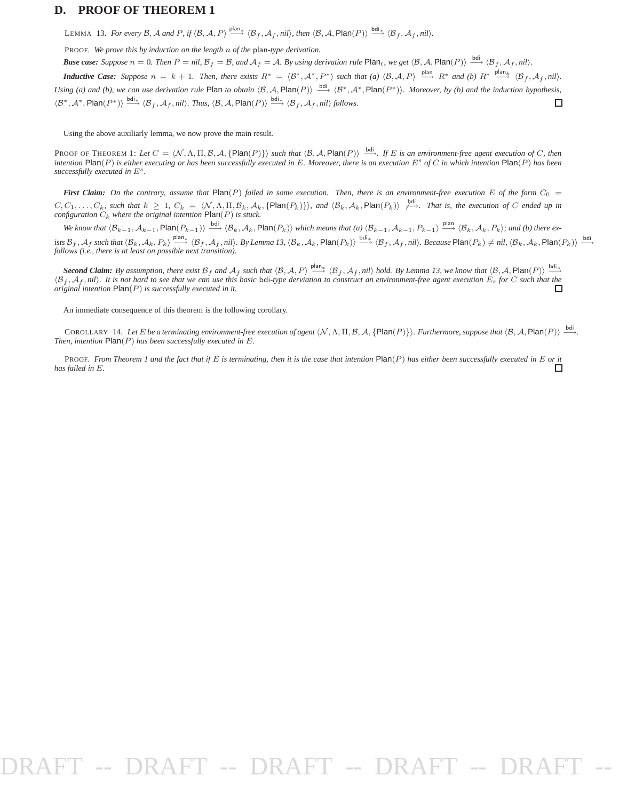#### **D. PROOF OF THEOREM 1**

LEMMA 13. For every B, A and P, if  $\langle B, A, P \rangle \stackrel{\text{plan}}{\longrightarrow} \langle B_f, \mathcal{A}_f, \textit{nil} \rangle$ , then  $\langle \mathcal{B}, \mathcal{A}, \textsf{Plan}(P) \rangle \stackrel{\text{bdi}_*}{\longrightarrow} \langle \mathcal{B}_f, \mathcal{A}_f, \textit{nil} \rangle$ .

PROOF. *We prove this by induction on the length* n *of the* plan*-type derivation.*

*Base case: Suppose*  $n = 0$ . *Then*  $P = \text{nil}$ ,  $B_f = B$ , and  $A_f = A$ . By using derivation rule Plan<sub>t</sub>, we get  $\langle B, A, P \text{lan}(P) \rangle \stackrel{\text{bdi}}{\longrightarrow} \langle B_f, A_f, \text{nil} \rangle$ .

*Inductive Case:* Suppose  $n = k + 1$ . Then, there exists  $R^* = \langle \mathcal{B}^*, \mathcal{A}^*, P^* \rangle$  such that (a)  $\langle \mathcal{B}, \mathcal{A}, P \rangle \xrightarrow{\text{plan}} R^*$  and (b)  $R^* \xrightarrow{\text{plan}_k} \langle \mathcal{B}_f, \mathcal{A}_f, \text{nil} \rangle$ . *Using (a) and (b), we can use derivation rule* Plan *to obtain*  $\langle B, A, Plan(P) \rangle \stackrel{bdi}{\longrightarrow} \langle B^*, A^*, Plan(P^*) \rangle$ *. Moreover, by (b) and the induction hypothesis,*  $\langle \mathcal{B}^*, \mathcal{A}^*, \mathsf{Plan}(P^*) \rangle \stackrel{\text{bdi}_*}{\longrightarrow} \langle \mathcal{B}_f, \mathcal{A}_f, \mathit{nil} \rangle$ . Thus,  $\langle \mathcal{B}, \mathcal{A}, \mathsf{Plan}(P) \rangle \stackrel{\text{bdi}_*}{\longrightarrow} \langle \mathcal{B}_f, \mathcal{A}_f, \mathit{nil} \rangle$  follows. □

Using the above auxiliarly lemma, we now prove the main result.

PROOF OF THEOREM 1: Let  $C = \langle N, \Lambda, \Pi, \mathcal{B}, \mathcal{A}, \{\textsf{Plan}(P)\}\rangle$  such that  $\langle \mathcal{B}, \mathcal{A}, \textsf{Plan}(P) \rangle \stackrel{\text{bdi}}{\longrightarrow}$ . If E is an environment-free agent execution of C, then intention Plan(P) is either executing or has been succ *successfully executed in* E<sup>s</sup> *.*

*First Claim:* On the contrary, assume that  $\text{Plan}(P)$  failed in some execution. Then, there is an environment-free execution E of the form  $C_0$  =  $C, C_1, \ldots, C_k$ , such that  $k \geq 1$ ,  $C_k = \langle \mathcal{N}, \Lambda, \Pi, \mathcal{B}_k, \mathcal{A}_k, \{\text{Plan}(P_k)\}\rangle$ , and  $\langle \mathcal{B}_k, \mathcal{A}_k, \text{Plan}(P_k)\rangle$   $\stackrel{\text{bdi}}{\longrightarrow}$ . That is, the execution of C ended up in configuration  $C_k$  where the original intention

 $\mathsf{W}\epsilon$  know that  $\langle \mathcal{B}_{k-1}, \mathcal{A}_{k-1}, \mathsf{Plan}(P_{k-1}) \rangle \stackrel{\text{bdi}}{\longrightarrow} \langle \mathcal{B}_k, \mathcal{A}_k, \mathsf{Plan}(P_k) \rangle$  which means that (a)  $\langle \mathcal{B}_{k-1}, \mathcal{A}_{k-1}, P_{k-1} \rangle \stackrel{\text{plan}}{\longrightarrow} \langle \mathcal{B}_k, \mathcal{A}_k, P_k \rangle$ ; and (b) there exists  $B_f$ ,  $A_f$  such that  $\langle B_k, A_k, P_k \rangle$   $\stackrel{\text{plan}}{\longrightarrow}$   $\langle B_f, A_f, nil \rangle$ . By Lemma 13,  $\langle B_k, A_k, \textsf{Plan}(P_k) \rangle$   $\stackrel{\text{bdi}_*}{\longrightarrow}$   $\langle B_f, A_f, nil \rangle$ . Because Plan $(P_k) \neq nil$ ,  $\langle B_k, A_k, \textsf{Plan}(P_k) \rangle$   $\stackrel{\text{bdi}_*}{\longrightarrow}$  follows (i.e., there i

*Second Claim:* By assumption, there exist  $B_f$  and  $A_f$  such that  $\langle B, A, P \rangle \stackrel{\text{plan}_*}{\longrightarrow} \langle B_f, A_f, nil \rangle$  hold. By Lemma 13, we know that  $\langle B, A, Plan(P) \rangle \stackrel{\text{bdi}_*}{\longrightarrow}$  $\langle B_f, A_f, nil \rangle$ . It is not hard to see that we can use this basic bdi-type derviation to construct an environment-free agent execution  $\dot{E}_s$  for C such that the original intention  $\text{Plan}(P)$  is successfully executed in it *original intention* Plan(P) *is successfully executed in it.*

An immediate consequence of this theorem is the following corollary.

COROLLARY 14. Let E be a terminating environment-free execution of agent  $\langle N, \Lambda, \Pi, \mathcal{B}, \mathcal{A}, \{\mathsf{Plan}(P)\}\rangle$ . Furthermore, suppose that  $\langle \mathcal{B}, \mathcal{A}, \mathsf{Plan}(P)\rangle \xrightarrow{\text{bdi}}$ . *Then, intention* Plan(P) *has been successfully executed in* E*.*

PROOF. *From Theorem 1 and the fact that if*  $E$  *is terminating, then it is the case that intention*  $\text{Plan}(P)$  *has either been successfully executed in*  $E$  *or it*  $\Box$ *has failed in* E*.*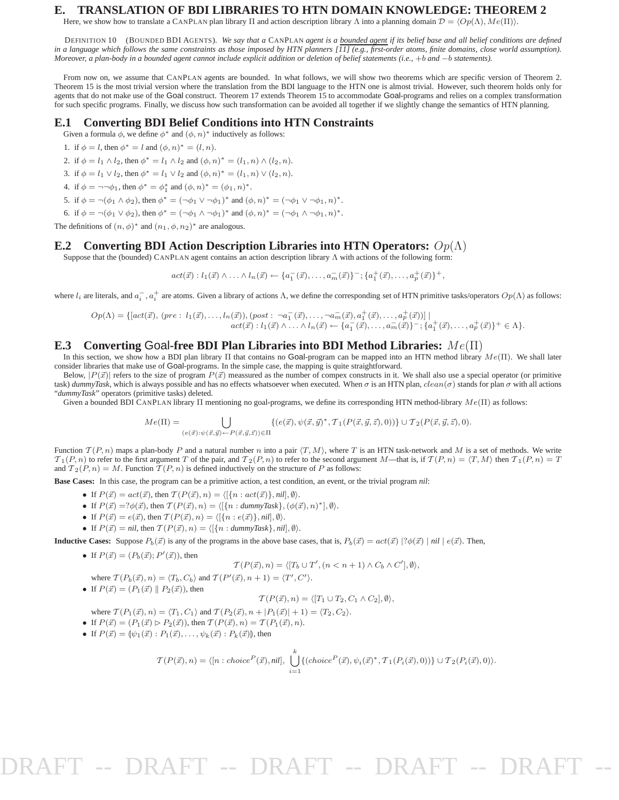#### **E. TRANSLATION OF BDI LIBRARIES TO HTN DOMAIN KNOWLEDGE: THEOREM 2**

Here, we show how to translate a CANPLAN plan library Π and action description library Λ into a planning domain  $\mathcal{D} = \langle Op(\Lambda), Me(\Pi) \rangle$ .

DEFINITION 10 (BOUNDED BDI AGENTS). *We say that a* CANPLAN *agent is a bounded agent if its belief base and all belief conditions are defined in a language which follows the same constraints as those imposed by HTN planners [11] (e.g., first-order atoms, finite domains, close world assumption). Moreover, a plan-body in a bounded agent cannot include explicit addition or deletion of belief statements (i.e.,* +b *and* −b *statements).*

From now on, we assume that CANPLAN agents are bounded. In what follows, we will show two theorems which are specific version of Theorem 2. Theorem 15 is the most trivial version where the translation from the BDI language to the HTN one is almost trivial. However, such theorem holds only for agents that do not make use of the Goal construct. Theorem 17 extends Theorem 15 to accommodate Goal-programs and relies on a complex transformation for such specific programs. Finally, we discuss how such transformation can be avoided all together if we slightly change the semantics of HTN planning.

#### **E.1 Converting BDI Belief Conditions into HTN Constraints**

Given a formula  $\phi$ , we define  $\phi^*$  and  $(\phi, n)^*$  inductively as follows:

1. if  $\phi = l$ , then  $\phi^* = l$  and  $(\phi, n)^* = (l, n)$ .

- 2. if  $\phi = l_1 \wedge l_2$ , then  $\phi^* = l_1 \wedge l_2$  and  $(\phi, n)^* = (l_1, n) \wedge (l_2, n)$ .
- 3. if  $\phi = l_1 \vee l_2$ , then  $\phi^* = l_1 \vee l_2$  and  $(\phi, n)^* = (l_1, n) \vee (l_2, n)$ .
- 4. if  $\phi = \neg \neg \phi_1$ , then  $\phi^* = \phi_1^*$  and  $(\phi, n)^* = (\phi_1, n)^*$ .
- 5. if  $\phi = \neg(\phi_1 \land \phi_2)$ , then  $\phi^* = (\neg \phi_1 \lor \neg \phi_1)^*$  and  $(\phi, n)^* = (\neg \phi_1 \lor \neg \phi_1, n)^*$ .
- 6. if  $\phi = \neg(\phi_1 \lor \phi_2)$ , then  $\phi^* = (\neg \phi_1 \land \neg \phi_1)^*$  and  $(\phi, n)^* = (\neg \phi_1 \land \neg \phi_1, n)^*$ .

The definitions of  $(n, \phi)^*$  and  $(n_1, \phi, n_2)^*$  are analogous.

#### **E.2 Converting BDI Action Description Libraries into HTN Operators:** Op(Λ)

Suppose that the (bounded) CANPLAN agent contains an action description library Λ with actions of the following form:

 $act(\vec{x}) : l_1(\vec{x}) \wedge \ldots \wedge l_n(\vec{x}) \leftarrow \{a_1^-(\vec{x}), \ldots, a_m^-(\vec{x})\}^{-}; \{a_1^+(\vec{x}), \ldots, a_p^+(\vec{x})\}^+,$ 

where  $l_i$  are literals, and  $a_i^-, a_i^+$  are atoms. Given a library of actions  $\Lambda$ , we define the corresponding set of HTN primitive tasks/operators  $Op(\Lambda)$  as follows:

 $Op(\Lambda) = \{ [act(\vec{x}), (pre: l_1(\vec{x}), \ldots, l_n(\vec{x})), (post: \neg a_1^-(\vec{x}), \ldots, \neg a_m^-(\vec{x}), a_1^+(\vec{x}), \ldots, a_p^+(\vec{x}) ) ] \mid$  $act(\vec{x}) : l_1(\vec{x}) \wedge \ldots \wedge l_n(\vec{x}) \leftarrow \{a_1^-(\vec{x}), \ldots, a_m^-(\vec{x})\}^{-}; \{a_1^+(\vec{x}), \ldots, a_p^+(\vec{x})\}^{+} \in \Lambda\}.$ 

#### **E.3 Converting** Goal**-free BDI Plan Libraries into BDI Method Libraries:** Me(Π)

In this section, we show how a BDI plan library Π that contains no Goal-program can be mapped into an HTN method library  $Me(\Pi)$ . We shall later consider libraries that make use of Goal-programs. In the simple case, the mapping is quite straightforward.

Below,  $|P(\vec{x})|$  refers to the size of program  $P(\vec{x})$  meassured as the number of compex constructs in it. We shall also use a special operator (or primitive task)  $dummyTask$ , which is always possible and has no effects whatsoever when executed. When  $\sigma$  is an HTN plan,  $clean(\sigma)$  stands for plan  $\sigma$  with all actions "*dummyTask*" operators (primitive tasks) deleted.

Given a bounded BDI CANPLAN library  $\Pi$  mentioning no goal-programs, we define its corresponding HTN method-library  $Me(\Pi)$  as follows:

$$
Me(\Pi) = \bigcup_{(e(\vec{x});\psi(\vec{x},\vec{y}) \leftarrow P(\vec{x},\vec{y},\vec{z})) \in \Pi} \{ (e(\vec{x}),\psi(\vec{x},\vec{y})^*,\mathcal{T}_1(P(\vec{x},\vec{y},\vec{z}),0)) \} \cup \mathcal{T}_2(P(\vec{x},\vec{y},\vec{z}),0).
$$

Function  $T(P, n)$  maps a plan-body P and a natural number n into a pair  $\langle T, M \rangle$ , where T is an HTN task-network and M is a set of methods. We write  $\mathcal{T}_1(P, n)$  to refer to the first argument T of the pair, and  $\mathcal{T}_2(P, n)$  to refer to the second argument M—that is, if  $\mathcal{T}(P, n) = \langle T, M \rangle$  then  $\mathcal{T}_1(P, n) = T$ and  $T_2(P, n) = M$ . Function  $T(P, n)$  is defined inductively on the structure of P as follows:

**Base Cases:** In this case, the program can be a primitive action, a test condition, an event, or the trivial program *nil*:

- If  $P(\vec{x}) = act(\vec{x})$ , then  $T(P(\vec{x}), n) = \langle [\{n : act(\vec{x})\}, n\vec{i}], \emptyset \rangle$ .
- If  $P(\vec{x}) = ?\phi(\vec{x})$ , then  $T(P(\vec{x}), n) = \langle [\{n : \text{dummyTask}\}, (\phi(\vec{x}), n)^*], \emptyset \rangle$ .
- If  $P(\vec{x}) = e(\vec{x})$ , then  $T(P(\vec{x}), n) = \langle [\{n : e(\vec{x})\}, nil], \emptyset \rangle$ .
- If  $P(\vec{x}) = \textit{nil}$ , then  $\mathcal{T}(P(\vec{x}), n) = \langle [\{n : \textit{dummyTask}\}, \textit{nil}], \emptyset \rangle.$

**Inductive Cases:** Suppose  $P_b(\vec{x})$  is any of the programs in the above base cases, that is,  $P_b(\vec{x}) = act(\vec{x}) |? \phi(\vec{x}) | nil | e(\vec{x})$ . Then,

• If  $P(\vec{x}) = (P_b(\vec{x}); P'(\vec{x}))$ , then

$$
\mathcal{T}(P(\vec{x}), n) = \langle [T_b \cup T', (n < n+1) \land C_b \land C'] , \emptyset \rangle,
$$

where  $\mathcal{T}(P_b(\vec{x}), n) = \langle T_b, C_b \rangle$  and  $\mathcal{T}(P'(\vec{x}), n + 1) = \langle T', C' \rangle$ .

• If  $P(\vec{x}) = (P_1(\vec{x}) || P_2(\vec{x}))$ , then

$$
\mathcal{T}(P(\vec{x}), n) = \langle [T_1 \cup T_2, C_1 \wedge C_2], \emptyset \rangle,
$$

where  $\mathcal{T}(P_1(\vec{x}), n) = \langle T_1, C_1 \rangle$  and  $\mathcal{T}(P_2(\vec{x}), n + |P_1(\vec{x})| + 1) = \langle T_2, C_2 \rangle$ .

- If  $P(\vec{x}) = (P_1(\vec{x}) \triangleright P_2(\vec{x}))$ , then  $T(P(\vec{x}), n) = T(P_1(\vec{x}), n)$ .
- If  $P(\vec{x}) = [\psi_1(\vec{x}) : P_1(\vec{x}), \dots, \psi_k(\vec{x}) : P_k(\vec{x})]$ , then

$$
\mathcal{T}(P(\vec{x}),n) = \langle [n:choice^P(\vec{x}),nil], \bigcup_{i=1}^k \{ (choice^P(\vec{x}), \psi_i(\vec{x})^*, \mathcal{T}_1(P_i(\vec{x}),0)) \} \cup \mathcal{T}_2(P_i(\vec{x}),0) \rangle.
$$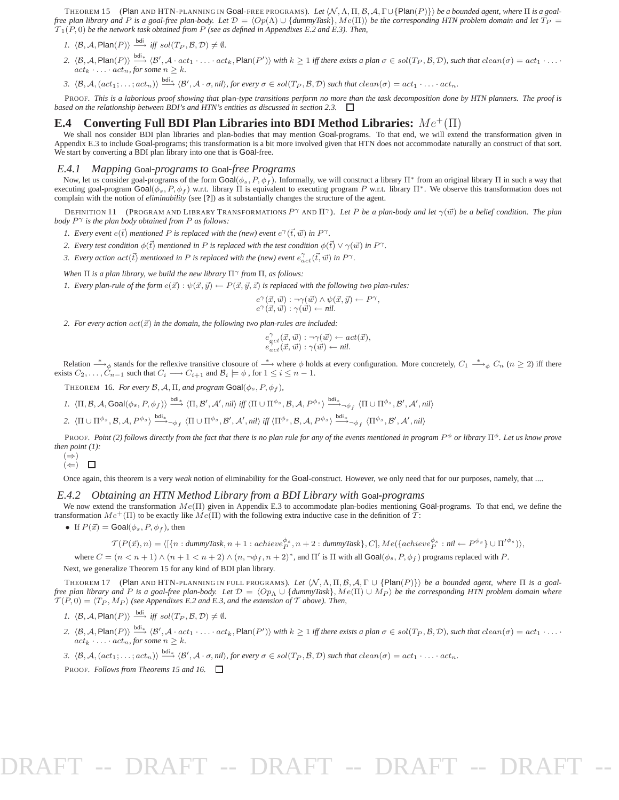THEOREM 15 (Plan AND HTN-PLANNING IN Goal-FREE PROGRAMS). Let  $\langle N, \Lambda, \Pi, \mathcal{B}, \mathcal{A}, \Gamma \cup \{ \mathsf{Plan}(P) \} \rangle$  *be a bounded agent, where*  $\Pi$  *is a goalfree plan library and P is a goal-free plan-body. Let*  $\mathcal{D} = \langle Op(\Lambda) \cup \{d \text{unmyTask}\}, Me(\Pi) \rangle$  *be the corresponding HTN problem domain and let*  $T_P =$  $\mathcal{T}_1(P, 0)$  *be the network task obtained from P (see as defined in Appendixes E.2 and E.3). Then,* 

- *1.*  $\langle \mathcal{B}, \mathcal{A}, \mathsf{Plan}(P) \rangle \stackrel{\text{bdi}}{\longrightarrow} \text{iff} \text{sol}(T_P, \mathcal{B}, \mathcal{D}) \neq \emptyset.$
- 2.  $\langle \mathcal{B}, \mathcal{A}, \mathsf{Plan}(P) \rangle \stackrel{\text{bdi}_*}{\longrightarrow} \langle \mathcal{B}', \mathcal{A} \cdot act_1 \cdot \ldots \cdot act_k, \mathsf{Plan}(P') \rangle$  with  $k \geq 1$  iff there exists a plan  $\sigma \in sol(T_P, \mathcal{B}, \mathcal{D})$ , such that  $clean(\sigma) = act_1 \cdot \ldots \cdot$  $act_k \cdot \ldots \cdot act_n$ , for some  $n \geq k$ .
- 3.  $\langle \mathcal{B}, \mathcal{A}, (act_1; \ldots; act_n) \rangle \stackrel{\text{bdi}_*}{\longrightarrow} \langle \mathcal{B}', \mathcal{A} \cdot \sigma, nil \rangle$ , for every  $\sigma \in sol(T_P, \mathcal{B}, \mathcal{D})$  such that  $clean(\sigma) = act_1 \cdot \ldots \cdot act_n$ .

PROOF. *This is a laborious proof showing that* plan*-type transitions perform no more than the task decomposition done by HTN planners. The proof is based on the relationship between BDI's and HTN's entities as discussed in section 2.3.*

#### **E.4 Converting Full BDI Plan Libraries into BDI Method Libraries:** Me<sup>+</sup>(Π)

We shall nos consider BDI plan libraries and plan-bodies that may mention Goal-programs. To that end, we will extend the transformation given in Appendix E.3 to include Goal-programs; this transformation is a bit more involved given that HTN does not accommodate naturally an construct of that sort. We start by converting a BDI plan library into one that is Goal-free.

#### *E.4.1 Mapping* Goal*-programs to* Goal*-free Programs*

Now, let us consider goal-programs of the form  $\text{Goal}(\phi_s, P, \phi_f)$ . Informally, we will construct a library  $\Pi^*$  from an original library  $\Pi$  in such a way that executing goal-program  $\text{Goal}(\phi_s, P, \phi_f)$  w.r.t. library  $\Pi$  is equivalent to executing program P w.r.t. library  $\Pi^*$ . We observe this transformation does not complain with the notion of *eliminability* (see [**?**]) as it substantially changes the structure of the agent.

DEFINITION 11 (PROGRAM AND LIBRARY TRANSFORMATIONS  $P^{\gamma}$  and  $\Pi^{\gamma}$ ). Let P be a plan-body and let  $\gamma(\vec{w})$  be a belief condition. The plan *body* P <sup>γ</sup> *is the plan body obtained from* P *as follows:*

- *1. Every event*  $e(\vec{t})$  *mentioned P is replaced with the (new) event*  $e^{\gamma}(\vec{t}, \vec{w})$  *in*  $P^{\gamma}$ *.*
- *2. Every test condition*  $\phi(\vec{t})$  *mentioned in P is replaced with the test condition*  $\phi(\vec{t}) \vee \gamma(\vec{w})$  *in P*<sup> $\gamma$ </sup>.
- 3. Every action  $act(\vec{t})$  mentioned in P is replaced with the (new) event  $e^{\gamma}_{act}(\vec{t}, \vec{w})$  in P<sup> $\gamma$ </sup>.

*When*  $\Pi$  *is a plan library, we build the new library*  $\Pi^{\gamma}$  *from*  $\Pi$ *, as follows:* 

*1. Every plan-rule of the form*  $e(\vec{x}) : \psi(\vec{x}, \vec{y}) \leftarrow P(\vec{x}, \vec{y}, \vec{z})$  *is replaced with the following two plan-rules:* 

$$
e^{\gamma}(\vec{x},\vec{w}) : \neg \gamma(\vec{w}) \wedge \psi(\vec{x},\vec{y}) \leftarrow P^{\gamma},
$$
  

$$
e^{\gamma}(\vec{x},\vec{w}) : \gamma(\vec{w}) \leftarrow nil.
$$

2. For every action  $act(\vec{x})$  in the domain, the following two plan-rules are included:

$$
e_{act}^{\gamma}(\vec{x}, \vec{w}) : \neg \gamma(\vec{w}) \leftarrow act(\vec{x}),
$$
  

$$
e_{act}^{\gamma}(\vec{x}, \vec{w}) : \gamma(\vec{w}) \leftarrow nil.
$$

Relation  $\rightarrow$   $\phi$  stands for the reflexive transitive closoure of  $\rightarrow$  where  $\phi$  holds at every configuration. More concretely,  $C_1 \rightarrow$  $C_n$  ( $n \ge 2$ ) iff there exists  $C_2, \ldots, C_{n-1}$  such that  $C_i \longrightarrow C_{i+1}$  and  $B_i \models \phi$ , for  $1 \leq i \leq n-1$ .

THEOREM 16. *For every*  $\mathcal{B}, \mathcal{A}, \Pi$ , and program  $\text{Goal}(\phi_s, P, \phi_f)$ ,

 $I. \ \ \langle \Pi, \mathcal{B}, \mathcal{A}, \mathsf{Goal}(\phi_s, P, \phi_f) \rangle \stackrel{\mathsf{bdi}_*}{\longrightarrow} \langle \Pi, \mathcal{B}', \mathcal{A}', \mathit{nil} \rangle \ \textit{iff} \ \langle \Pi \cup \Pi^{\phi_s}, \mathcal{B}, \mathcal{A}, P^{\phi_s} \rangle \stackrel{\mathsf{bdi}_*}{\longrightarrow}_{\neg \phi_f} \ \langle \Pi \cup \Pi^{\phi_s}, \mathcal{B}', \mathcal{A}', \mathit{nil} \rangle$ 

 $2. \ \ \langle \Pi \cup \Pi^{\phi_s}, \mathcal{B}, \mathcal{A}, P^{\phi_s} \rangle \stackrel{{\rm bdi}_*}{\longrightarrow}_{\neg \phi_f} \langle \Pi \cup \Pi^{\phi_s}, \mathcal{B}', \mathcal{A}', nil \rangle \ \text{iff} \ \langle \Pi^{\phi_s}, \mathcal{B}, \mathcal{A}, P^{\phi_s} \rangle \stackrel{{\rm bdi}_*}{\longrightarrow}_{\neg \phi_f} \langle \Pi^{\phi_s}, \mathcal{B}', \mathcal{A}', nil \rangle$ 

PROOF. *Point (2) follows directly from the fact that there is no plan rule for any of the events mentioned in program* P <sup>φ</sup> *or library* Πφ*. Let us know prove then point (1):*

$$
\begin{matrix}(\Rightarrow)\\(\Leftarrow)\end{matrix}
$$

Once again, this theorem is a very *weak* notion of eliminability for the Goal-construct. However, we only need that for our purposes, namely, that ....

#### *E.4.2 Obtaining an HTN Method Library from a BDI Library with* Goal*-programs*

We now extend the transformation  $Me(\Pi)$  given in Appendix E.3 to accommodate plan-bodies mentioning Goal-programs. To that end, we define the transformation  $Me^+(\Pi)$  to be exactly like  $Me(\Pi)$  with the following extra inductive case in the definition of  $\mathcal{T}$ :

• If  $P(\vec{x}) = \text{Goal}(\phi_s, P, \phi_f)$ , then

 $T(P(\vec{x}), n) = \langle [\{n : \text{dummyTask}, n + 1 : \text{achieve}_{P}^{\phi_s}, n + 2 : \text{dummyTask}\}, C], \text{Me}(\{achieve_{P}^{\phi_s} : \text{nil} \leftarrow P^{\phi_s} \} \cup \Pi^{\prime \phi_s}) \rangle$ 

where  $C = (n < n + 1) \wedge (n + 1 < n + 2) \wedge (n, \neg \phi_f, n + 2)^*$ , and  $\Pi'$  is  $\Pi$  with all  $\textsf{Goal}(\phi_s, P, \phi_f)$  programs replaced with  $P$ . Next, we generalize Theorem 15 for any kind of BDI plan library.

THEOREM 17 (Plan AND HTN-PLANNING IN FULL PROGRAMS). Let  $\langle N, \Lambda, \Pi, B, A, \Gamma \cup \{Plan(P)\} \rangle$  be a bounded agent, where  $\Pi$  is a goal*free plan library and* P *is a goal-free plan-body.* Let  $\mathcal{D} = \langle \overline{Op}_\Lambda \cup \{ \underline{d} \text{un} \text{myTask} \}, \text{Me}(\Pi) \cup \overline{Mp} \}$  be the corresponding HTN problem domain where  $T(P, 0) = \langle T_P, M_P \rangle$  (see Appendixes E.2 and E.3, and the extension of T above). Then,

- *1.*  $\langle \mathcal{B}, \mathcal{A}, \mathsf{Plan}(P) \rangle \stackrel{\text{bdi}}{\longrightarrow} \text{iff} \text{sol}(T_P, \mathcal{B}, \mathcal{D}) \neq \emptyset.$
- 2.  $\langle \mathcal{B}, \mathcal{A}, \mathsf{Plan}(P) \rangle \stackrel{\text{bdi}_*}{\longrightarrow} \langle \mathcal{B}', \mathcal{A} \cdot act_1 \cdot \ldots \cdot act_k, \mathsf{Plan}(P') \rangle$  with  $k \geq 1$  iff there exists a plan  $\sigma \in sol(T_P, \mathcal{B}, \mathcal{D})$ , such that  $clean(\sigma) = act_1 \cdot \ldots \cdot$  $act_k \cdot \ldots \cdot act_n$ , for some  $n \geq k$ .
- 3.  $\langle \mathcal{B}, \mathcal{A}, (act_1; \ldots; act_n) \rangle \stackrel{\text{bdi}_*}{\longrightarrow} \langle \mathcal{B}', \mathcal{A} \cdot \sigma, nil \rangle$ , for every  $\sigma \in sol(T_P, \mathcal{B}, \mathcal{D})$  such that  $clean(\sigma) = act_1 \cdot \ldots \cdot act_n$ .

PROOF. *Follows from Theorems 15 and 16.*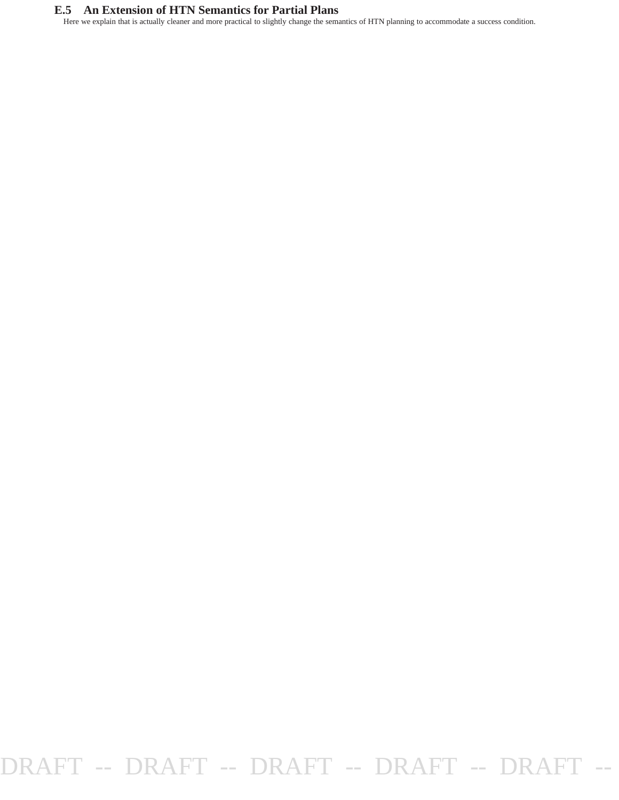### **E.5 An Extension of HTN Semantics for Partial Plans**

Here we explain that is actually cleaner and more practical to slightly change the semantics of HTN planning to accommodate a success condition.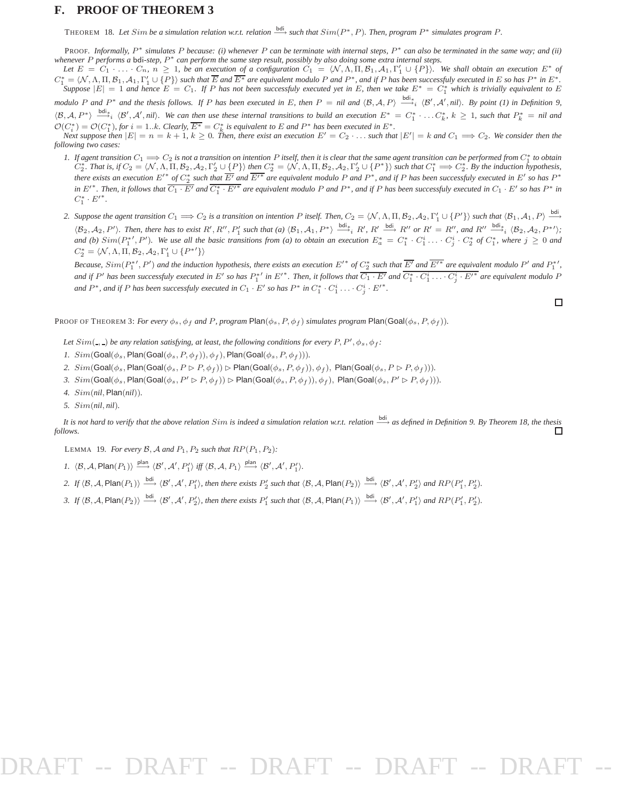#### **F. PROOF OF THEOREM 3**

THEOREM 18. Let Sim be a simulation relation w.r.t. relation  $\xrightarrow{bdi}$  such that  $Sim(P^*, P)$ . Then, program  $P^*$  simulates program  $P$ .

PROOF. *Informally,* P ∗ *simulates* P *because: (i) whenever* P *can be terminate with internal steps,* P ∗ *can also be terminated in the same way; and (ii) whenever* P *performs a* bdi*-step,* P <sup>∗</sup> *can perform the same step result, possibly by also doing some extra internal steps.*

Let  $E = C_1 \cdot \ldots \cdot C_n$ ,  $n \geq 1$ , be an execution of a configuration  $C_1 = \langle \mathcal{N}, \Lambda, \Pi, \mathcal{B}_1, \mathcal{A}_1, \Gamma'_1 \cup \{P\} \rangle$ . We shall obtain an execution  $E^*$  of  $C_1^* = \langle N, \Lambda, \Pi, \mathcal{B}_1, \mathcal{A}_1, \Gamma_1' \cup \{P\} \rangle$  such that  $\overline{E}$  and  $\overline{E^*}$  are equivalent modulo P and  $P^*$ , and if P has been successfuly executed in E so has  $P^*$  in  $E^*$ .  $Suppose |E| = 1$  and hence  $E = C_1$ . If P has not been successfuly executed yet in E, then we take  $E^* = C_1^*$  which is trivially equivalent to E

*modulo* P and P<sup>\*</sup> and the thesis follows. If P has been executed in E, then  $P = \textit{nil}$  and  $\langle B, A, P \rangle \stackrel{\text{bdi}_*}{\longrightarrow} \langle B', A', \textit{nil} \rangle$ . By point (1) in Definition 9,  $\langle \mathcal{B}, \mathcal{A}, P^* \rangle \stackrel{\text{bdi}_*}{\longrightarrow_i} \langle \mathcal{B}', \mathcal{A}', nil \rangle$ . We can then use these internal transitions to build an execution  $E^* = C_1^* \cdot ... C_k^*$ ,  $k \ge 1$ , such that  $P_k^* = nil$  and  $\mathcal{O}(C_i^*) = \mathcal{O}(C_1^*)$ , for  $i = 1..k$ . Clearly,  $\overline{E^*} = C_k^*$  is equivalent to E and P<sup>\*</sup> has been executed in  $E^*$ .

 $\sum_{i=1}^{n} \sum_{j=1}^{n} \sum_{i=1}^{n} \sum_{i=1}^{n} \sum_{i=1}^{n} \sum_{j=1}^{n} \sum_{j=1}^{n} \sum_{j=1}^{n} \sum_{j=1}^{n} \sum_{j=1}^{n} \sum_{j=1}^{n} \sum_{j=1}^{n} \sum_{j=1}^{n} \sum_{j=1}^{n} \sum_{j=1}^{n} \sum_{j=1}^{n} \sum_{j=1}^{n} \sum_{j=1}^{n} \sum_{j=1}^{n} \sum_{j=1}^{n} \sum_{j=1}^{n} \sum_{j=1}^{n}$ *following two cases:*

- *1.* If agent transition  $C_1 \implies C_2$  is not a transition on intention P itself, then it is clear that the same agent transition can be performed from  $C_1^*$  to obtain *o*<sub>1</sub> went transmon  $C_1 \longrightarrow C_2$  is not a transmon on intention 1 usey, then it is clear that the same agent transmon can be performed from  $C_1$  to obtain  $C_2^* = \langle N, \Lambda, \Pi, B_2, A_2, \Gamma'_2 \cup \{P\}\rangle$  then  $C_2^* = \langle N, \Lambda, \Pi, B_2, A$ *there exists an execution*  $E'^*$  *of*  $C_2^*$  *such that*  $\overline{E'}$  *and*  $\overline{E'}^*$  *are equivalent modulo*  $P$  *and*  $P^*$ *, and if*  $P$  *has been successfuly executed in*  $E'$  *so has*  $P^*$ in  $E'^*$ . Then, it follows that  $\overline{C_1 \cdot E'}$  and  $\overline{C_1^* \cdot E'^*}$  are equivalent modulo P and  $P^*$ , and if P has been successfuly executed in  $C_1 \cdot E'$  so has  $P^*$  in  $C_1^* \cdot E'^*$ .
- 2. Suppose the agent transition  $C_1 \Longrightarrow C_2$  is a transition on intention P itself. Then,  $C_2 = \langle \mathcal{N}, \Lambda, \Pi, \mathcal{B}_2, \mathcal{A}_2, \Gamma'_1 \cup \{P'\} \rangle$  such that  $\langle \mathcal{B}_1, \mathcal{A}_1, P \rangle \stackrel{\text{bdi}}{\longrightarrow}$  $\langle \mathcal{B}_2, \mathcal{A}_2, P' \rangle$ . Then, there has to exist R', R'', P'<sub>1</sub> such that (a)  $\langle \mathcal{B}_1, \mathcal{A}_1, P^* \rangle \stackrel{\text{bdi}_*}{\longrightarrow}_i R'$ , R'  $\stackrel{\text{bdi}_*}{\longrightarrow}_i R''$  or  $R' = R''$ , and  $R'' \stackrel{\text{bdi}_*}{\longrightarrow}_i \langle \mathcal{B}_2, \mathcal{A}_2, P^{*'} \rangle$ ; *and* (*b*)  $Sim(P_1^*, P')$ . We use all the basic transitions from (*a*) to obtain an execution  $E_a^* = C_1^* \cdot C_1^i \cdot \cdot \cdot C_j^i \cdot C_2^*$  of  $C_1^*$ , where  $j \ge 0$  and  $C_2^* = \langle \mathcal{N}, \Lambda, \Pi, \mathcal{B}_2, \mathcal{A}_2, \Gamma'_1 \cup \{P^{*\prime}\}\rangle$

*Because,*  $Sim(P_1^{*'} , P')$  and the induction hypothesis, there exists an execution  $E'^*$  of  $C_2^*$  such that  $\overline{E'}$  and  $\overline{E'}^*$  are equivalent modulo  $P'$  and  $P_1^{*'}$ , and if  $P'$  has been successfuly executed in E' so has  $P_1^*$ ' in E'\*. Then, it follows that  $\overline{C_1 \cdot E'}$  and  $\overline{C_1^* \cdot C_1^i \cdot \ldots \cdot C_j^i \cdot E'^*}$  are equivalent modulo P *and*  $P^*$ , and if P has been successfuly executed in  $C_1 \cdot E'$  so has  $P^*$  in  $C_1^* \cdot C_1^i \cdot \ldots \cdot C_j^i \cdot E'^*$ .

 $\Box$ 

PROOF OF THEOREM 3: *For every*  $\phi_s$ ,  $\phi_f$  *and* P, program Plan( $\phi_s$ , P,  $\phi_f$ ) *simulates program* Plan(Goal( $\phi_s$ , P,  $\phi_f$ )).

Let  $Sim($ <sub>-</sub>,  $)$  be any relation satisfying, at least, the following conditions for every  $P, P', \phi_s, \phi_f$ :

- *1.*  $Sim(Goal(\phi_s, Plan(Goal(\phi_s, P, \phi_f)), \phi_f)$ , Plan(Goal( $\phi_s, P, \phi_f)$ )).
- 2.  $Sim(Goal(\phi_s, Plan(Goal(\phi_s, P \triangleright P, \phi_f)) \triangleright Plan(Goal(\phi_s, P, \phi_f)), \phi_f), Plan(Goal(\phi_s, P \triangleright P, \phi_f))).$
- *3.*  $Sim(Goal(\phi_s, Plan(Goal(\phi_s, P' \triangleright P, \phi_f)) \triangleright Plan(Goal(\phi_s, P, \phi_f)), \phi_f)$ ,  $Plan(Goal(\phi_s, P' \triangleright P, \phi_f)))$ .
- *4.* Sim(*nil*, Plan(*nil*))*.*
- *5.* Sim(*nil*, *nil*)*.*

*It is not hard to verify that the above relation Sim is indeed a simulation relation w.r.t. relation*  $\frac{bdi}{dx}$  *as defined in Definition 9. By Theorem 18, the thesis* <del>∩</del> *follows.*

LEMMA 19. *For every*  $\mathcal{B}, \mathcal{A}$  *and*  $P_1, P_2$  *such that*  $RP(P_1, P_2)$ *:* 

*1.*  $\langle \mathcal{B}, \mathcal{A}, \mathsf{Plan}(P_1) \rangle \xrightarrow{\text{plan}} \langle \mathcal{B}', \mathcal{A}', P'_1 \rangle \text{ iff } \langle \mathcal{B}, \mathcal{A}, P_1 \rangle \xrightarrow{\text{plan}} \langle \mathcal{B}', \mathcal{A}', P'_1 \rangle.$ 

- 2. If  $\langle B, A, \mathsf{Plan}(P_1) \rangle \stackrel{\text{bdi}}{\longrightarrow} \langle B', A', P'_1 \rangle$ , then there exists  $P'_2$  such that  $\langle B, A, \mathsf{Plan}(P_2) \rangle \stackrel{\text{bdi}}{\longrightarrow} \langle B', A', P'_2 \rangle$  and  $RP(P'_1, P'_2)$ .
- 3. If  $\langle B, A, \text{Plan}(P_2) \rangle \stackrel{\text{bdi}}{\longrightarrow} \langle B', A', P'_2 \rangle$ , then there exists  $P'_1$  such that  $\langle B, A, \text{Plan}(P_1) \rangle \stackrel{\text{bdi}}{\longrightarrow} \langle B', A', P'_1 \rangle$  and  $RP(P'_1, P'_2)$ .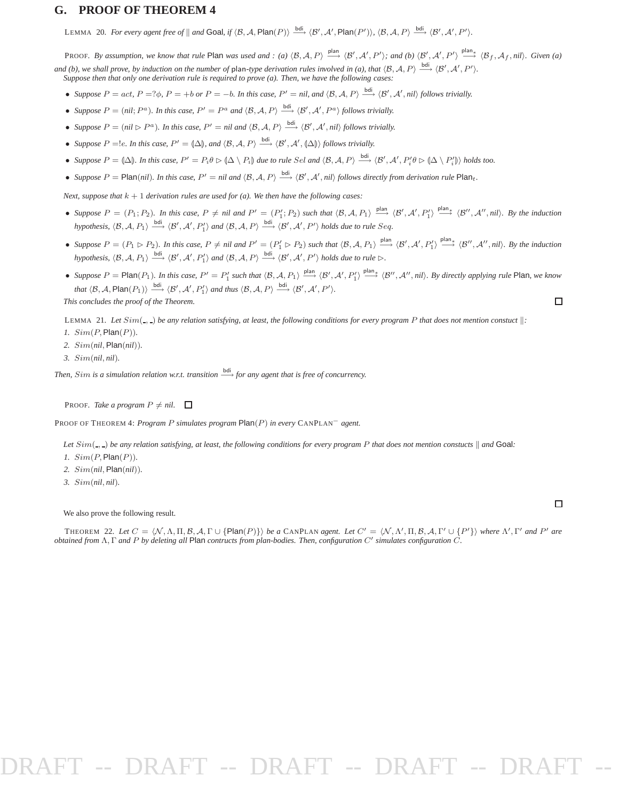#### **G. PROOF OF THEOREM 4**

LEMMA 20. For every agent free of  $\parallel$  and Goal, if  $\langle B, A, \mathsf{Plan}(P) \rangle \stackrel{\text{bdi}}{\longrightarrow} \langle B', A', \mathsf{Plan}(P') \rangle$ ,  $\langle B, A, P \rangle \stackrel{\text{bdi}}{\longrightarrow} \langle B', A', P' \rangle$ .

PROOF. By assumption, we know that rule Plan was used and : (a)  $\langle B, A, P \rangle \stackrel{\text{plan}}{\longrightarrow} \langle B', A', P' \rangle$ ; and (b)  $\langle B', A', P' \rangle \stackrel{\text{plan}}{\longrightarrow} \langle B_f, A_f, nil \rangle$ . Given (a)

and (b), we shall prove, by induction on the number of plan-type derivation rules involved in (a), that  $\langle B, A, P \rangle \xrightarrow{\text{bdi}} \langle B', A', P' \rangle$ . *Suppose then that only one derivation rule is required to prove (a). Then, we have the following cases:*

- Suppose  $P = act$ ,  $P = ?\phi$ ,  $P = +b$  or  $P = -b$ . In this case,  $P' = nil$ , and  $\langle B, A, P \rangle \xrightarrow{bdi} \langle B', A', nil \rangle$  follows trivially.
- Suppose  $P = (nil; P^a)$ . In this case,  $P' = P^a$  and  $\langle B, A, P \rangle \stackrel{\text{bdi}}{\longrightarrow} \langle B', A', P^a \rangle$  follows trivially.
- Suppose  $P = (nil \rhd P^a)$ . In this case,  $P' = nil$  and  $\langle B, A, P \rangle \stackrel{\text{bdi}}{\longrightarrow} \langle B', A', nil \rangle$  follows trivially.
- *Suppose*  $P = \{e, \text{ } In \text{ this case, } P' = (\Delta) \}$ , and  $\langle \mathcal{B}, \mathcal{A}, P \rangle \stackrel{\text{bdi}}{\longrightarrow} \langle \mathcal{B}', \mathcal{A}', (\Delta) \rangle$  follows trivially.
- Suppose  $P = (\Delta)$ . In this case,  $P' = P_i \theta \triangleright (\Delta \setminus P_i)$  due to rule Sel and  $\langle \mathcal{B}, \mathcal{A}, P \rangle \stackrel{\text{bdi}}{\longrightarrow} \langle \mathcal{B}', \mathcal{A}', P_i' \theta \triangleright (\Delta \setminus P_i') \rangle$  holds too.
- Suppose  $P = \text{Plan}(nil)$ . In this case,  $P' = nil$  and  $\langle B, A, P \rangle \stackrel{\text{bdi}}{\longrightarrow} \langle B', A', nil \rangle$  follows directly from derivation rule  $\text{Plan}_{t}$ .

*Next, suppose that*  $k + 1$  *derivation rules are used for (a). We then have the following cases:* 

- Suppose  $P = (P_1; P_2)$ . In this case,  $P \neq nil$  and  $P' = (P'_1; P_2)$  such that  $\langle \mathcal{B}, \mathcal{A}, P_1 \rangle \xrightarrow{\text{plan}} \langle \mathcal{B}', \mathcal{A}', P'_1 \rangle \xrightarrow{\text{plan}} \langle \mathcal{B}'', \mathcal{A}'', nil \rangle$ . By the induction *hypothesis,*  $\langle B, A, P_1 \rangle \xrightarrow{\text{bdi}} \langle B', A', P'_1 \rangle$  and  $\langle B, A, P \rangle \xrightarrow{\text{bdi}} \langle B', A', P' \rangle$  *holds due to rule* Seq.
- Suppose  $P = (P_1 \rhd P_2)$ . In this case,  $P \neq nil$  and  $P' = (P'_1 \rhd P_2)$  such that  $\langle \mathcal{B}, \mathcal{A}, P_1 \rangle \xrightarrow{\text{plan}} \langle \mathcal{B}', \mathcal{A}', P'_1 \rangle \xrightarrow{\text{plan}} \langle \mathcal{B}'', \mathcal{A}'', nil \rangle$ . By the induction *hypothesis,*  $\langle B, A, P_1 \rangle \xrightarrow{\text{bdi}} \langle B', A', P'_1 \rangle$  and  $\langle B, A, P \rangle \xrightarrow{\text{bdi}} \langle B', A', P' \rangle$  *holds due to rule*  $\triangleright$ .
- Suppose  $P = \text{Plan}(P_1)$ . In this case,  $P' = P'_1$  such that  $\langle B, A, P_1 \rangle \stackrel{\text{plan}}{\longrightarrow} \langle B', A', P'_1 \rangle \stackrel{\text{plan}}{\longrightarrow} \langle B'', A'', nil \rangle$ . By directly applying rule Plan, we know that  $\langle \mathcal{B}, \mathcal{A}, \mathsf{Plan}(P_1) \rangle \stackrel{\mathsf{bdi}}{\longrightarrow} \langle \mathcal{B}', \mathcal{A}', P'_1 \rangle$  and thus  $\langle \mathcal{B}, \mathcal{A}, P \rangle \stackrel{\mathsf{bdi}}{\longrightarrow} \langle \mathcal{B}', \mathcal{A}', P' \rangle$ .

*This concludes the proof of the Theorem.*

LEMMA 21. Let  $Sim(\_)$  be any relation satisfying, at least, the following conditions for every program P that does not mention constuct  $\|$ :

- *1.* Sim(P, Plan(P))*.*
- *2.* Sim(*nil*, Plan(*nil*))*.*
- *3.* Sim(*nil*, *nil*)*.*

*Then, Sim is a simulation relation w.r.t. transition*  $\frac{bdi}{\sqrt{2}}$  *for any agent that is free of concurrency.* 

PROOF. *Take a program*  $P \neq nil$ .  $\Box$ 

PROOF OF THEOREM 4: *Program* P *simulates program* Plan(P) *in every* CANPLAN<sup>−</sup> *agent.*

*Let*  $Sim($ <sub>-</sub>,  $)$  *be any relation satisfying, at least, the following conditions for every program* P *that does not mention constucts*  $\parallel$  *and* Goal:

- *1.* Sim(P, Plan(P))*.*
- *2.* Sim(*nil*, Plan(*nil*))*.*
- *3.* Sim(*nil*, *nil*)*.*

We also prove the following result.

 $\Box$ 

 $\Box$ 

THEOREM 22. Let  $C = \langle N, \Lambda, \Pi, \mathcal{B}, \mathcal{A}, \Gamma \cup \{ \text{Plan}(P) \} \rangle$  *be a* CANPLAN *agent. Let*  $C' = \langle N, \Lambda', \Pi, \mathcal{B}, \mathcal{A}, \Gamma' \cup \{P'\} \rangle$  where  $\Lambda', \Gamma'$  and  $P'$  are *obtained from* Λ, Γ *and* P *by deleting all* Plan *contructs from plan-bodies. Then, configuration* C′ *simulates configuration* C*.*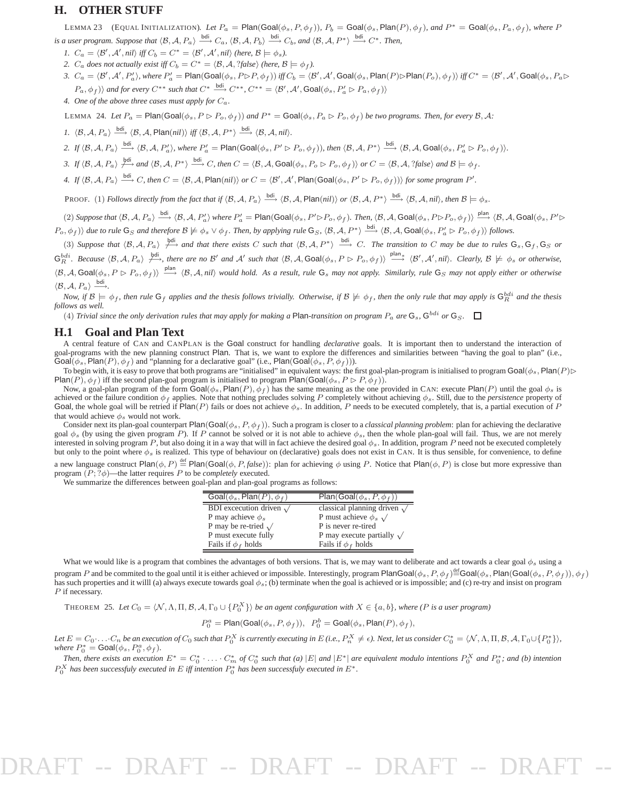#### **H. OTHER STUFF**

LEMMA 23 (EQUAL INITIALIZATION). Let  $P_a = \text{Plan(Goal}(\phi_s, P, \phi_f))$ ,  $P_b = \text{Goal}(\phi_s, \text{Plan}(P), \phi_f)$ , and  $P^* = \text{Goal}(\phi_s, P_a, \phi_f)$ , where P *is a user program. Suppose that*  $\langle \mathcal{B}, \mathcal{A}, P_a \rangle \stackrel{\text{bdi}}{\longrightarrow} C_a$ ,  $\langle \mathcal{B}, \mathcal{A}, P_b \rangle \stackrel{\text{bdi}}{\longrightarrow} C_b$ , and  $\langle \mathcal{B}, \mathcal{A}, P^* \rangle \stackrel{\text{bdi}}{\longrightarrow} C^*$ . Then,

*1.*  $C_a = \langle \mathcal{B}', \mathcal{A}', \textit{nil} \rangle$  *iff*  $C_b = C^* = \langle \mathcal{B}', \mathcal{A}', \textit{nil} \rangle$  (here,  $\mathcal{B} \models \phi_s$ ).

*2.*  $C_a$  *does not actually exist iff*  $C_b = C^* = \langle \mathcal{B}, \mathcal{A}, ?\mathit{false} \rangle$  *(here,*  $\mathcal{B} \models \phi_f$ *).* 

- *3.*  $C_a = \langle \mathcal{B}', \mathcal{A}', P'_a \rangle$ , where  $P'_a = \text{Plan(Goal}(\phi_s, P \triangleright P, \phi_f))$  *iff*  $C_b = \langle \mathcal{B}', \mathcal{A}', \text{Goal}(\phi_s, \text{Plan}(P) \triangleright \text{Plan}(P_o), \phi_f) \rangle$  *iff*  $C^* = \langle \mathcal{B}', \mathcal{A}', \text{Goal}(\phi_s, P_a \triangleright P'_a) \rangle$  $\langle P_a, \phi_f \rangle$  *and for every*  $C^{**}$  *such that*  $C^* \stackrel{\text{bdi}}{\longrightarrow} C^{**}$ ,  $C^{**} = \langle \mathcal{B}', \mathcal{A}', \text{Goal}(\phi_s, P'_a \rhd P_a, \phi_f) \rangle$
- *4. One of the above three cases must apply for* Ca*.*

LEMMA 24. Let  $P_a = \text{Plan}(\text{Goal}(\phi_s, P \triangleright P_o, \phi_f))$  and  $P^* = \text{Goal}(\phi_s, P_a \triangleright P_o, \phi_f)$  be two programs. Then, for every  $B, A$ :

*1.*  $\langle \mathcal{B}, \mathcal{A}, P_a \rangle \xrightarrow{\text{bdi}} \langle \mathcal{B}, \mathcal{A}, \text{Plan}(nil) \rangle \text{ iff } \langle \mathcal{B}, \mathcal{A}, P^* \rangle \xrightarrow{\text{bdi}} \langle \mathcal{B}, \mathcal{A}, nil \rangle.$ 

2. If  $\langle B, A, P_a \rangle \stackrel{\text{bdi}}{\longrightarrow} \langle B, A, P'_a \rangle$ , where  $P'_a = \text{Plan(Goal}(\phi_s, P' \rhd P_o, \phi_f))$ , then  $\langle B, A, P^* \rangle \stackrel{\text{bdi}}{\longrightarrow} \langle B, A, \text{Goal}(\phi_s, P'_a \rhd P_o, \phi_f) \rangle$ .

*3.* If  $\langle \mathcal{B}, \mathcal{A}, P_a \rangle \stackrel{\text{bdi}}{\longrightarrow}$  *and*  $\langle \mathcal{B}, \mathcal{A}, P^* \rangle \stackrel{\text{bdi}}{\longrightarrow} C$ , then  $C = \langle \mathcal{B}, \mathcal{A}, \mathsf{Goal}(\phi_s, P_o \triangleright P_o, \phi_f) \rangle$  or  $C = \langle \mathcal{B}, \mathcal{A}, ?\mathsf{false} \rangle$  and  $\mathcal{B} \models \phi_f$ .

*4.* If  $\langle \mathcal{B}, \mathcal{A}, P_a \rangle \xrightarrow{\text{bdi}} C$ , then  $C = \langle \mathcal{B}, \mathcal{A}, \mathsf{Plan}(nil) \rangle$  or  $C = \langle \mathcal{B}', \mathcal{A}', \mathsf{Plan}(\mathsf{Goal}(\phi_s, P' \triangleright P_o, \phi_f)) \rangle$  for some program  $P'$ .

PROOF. (1) *Follows directly from the fact that if*  $\langle B, A, P_a \rangle \stackrel{\text{bdi}}{\longrightarrow} \langle B, A, \text{Plan}(nil) \rangle$  *or*  $\langle B, A, P^* \rangle \stackrel{\text{bdi}}{\longrightarrow} \langle B, A, nil \rangle$ , then  $B \models \phi_s$ .

(2) Suppose that  $\langle B, A, P_a \rangle \stackrel{\text{bdi}}{\longrightarrow} \langle B, A, P'_a \rangle$  where  $P'_a = \text{Plan(Goal}(\phi_s, P' \triangleright P_o, \phi_f)$ . Then,  $\langle B, A, \text{Goal}(\phi_s, P \triangleright P_o, \phi_f) \rangle \stackrel{\text{plan}}{\longrightarrow} \langle B, A, \text{Goal}(\phi_s, P' \triangleright P_o, \phi_f) \rangle$  $\langle P_o, \phi_f \rangle$  *due to rule*  $G_S$  *and therefore*  $\mathcal{B} \not\models \phi_s \vee \phi_f$ . Then, by applying rule  $G_S$ ,  $\langle \mathcal{B}, \mathcal{A}, P^* \rangle \xrightarrow{\text{bdi}} \langle \mathcal{B}, \mathcal{A}, \text{Goal}(\phi_s, P_a' \triangleright P_o, \phi_f) \rangle$  follows.

(3) Suppose that  $\langle B, A, P_a \rangle \stackrel{\text{bdi}}{\longrightarrow}$  and that there exists C such that  $\langle B, A, P^* \rangle \stackrel{\text{bdi}}{\longrightarrow} C$ . The transition to C may be due to rules  $G_s, G_f, G_S$  or

 $G_R^{bdi}$ . Because  $\langle \mathcal{B}, \mathcal{A}, P_a \rangle \nleftrightarrow{bdi}$ , there are no B' and A' such that  $\langle \mathcal{B}, \mathcal{A}, \text{Goal}(\phi_s, P \triangleright P_o, \phi_f) \rangle \stackrel{\text{plan}}{\longrightarrow} \langle \mathcal{B}', \mathcal{A}', \text{nil} \rangle$ . Clearly,  $\mathcal{B} \not\models \phi_s$  or otherwise,  $\langle B, A, \text{Goal}(\phi_s, P \triangleright P_o, \phi_f) \rangle \stackrel{\text{plan}}{\longrightarrow} \langle B, A, nil \rangle$  would hold. As a result, rule  $G_s$  may not apply. Similarly, rule  $G_s$  may not apply either or otherwise  $\langle \mathcal{B}, \mathcal{A}, P_a \rangle \stackrel{\text{bdi}}{\longrightarrow}$ .

*Now, if*  $\mathcal{B} \models \phi_f$ , then rule  $\mathsf{G}_f$  applies and the thesis follows trivially. Otherwise, if  $\mathcal{B} \not\models \phi_f$ , then the only rule that may apply is  $\mathsf{G}_R^{\text{bdi}}$  and the thesis *follows as well.*

(4) *Trivial since the only derivation rules that may apply for making a Plan-transition on program*  $P_a$  *are*  $G_s$ ,  $G^{bdi}$  or  $G_s$ .

#### **H.1 Goal and Plan Text**

A central feature of CAN and CANPLAN is the Goal construct for handling *declarative* goals. It is important then to understand the interaction of goal-programs with the new planning construct Plan. That is, we want to explore the differences and similarities between "having the goal to plan" (i.e., Goal( $\phi_s$ , Plan( $P$ ),  $\phi_f$ ) and "planning for a declarative goal" (i.e., Plan(Goal( $\phi_s$ ,  $P$ ,  $\phi_f$ ))).

To begin with, it is easy to prove that both programs are "initialised" in equivalent ways: the first goal-plan-program is initialised to program Goal( $\phi_s$ , Plan(P) $\triangleright$ Plan(P),  $\phi_f$ ) iff the second plan-goal program is initialised to program Plan(Goal( $\phi_s$ ,  $P \triangleright P$ ,  $\phi_f$ )).

Now, a goal-plan program of the form  $\text{Goal}(\phi_s, \text{Plan}(P), \phi_f)$  has the same meaning as the one provided in CAN: execute Plan(P) until the goal  $\phi_s$  is achieved or the failure condition  $\phi_f$  applies. Note that nothing precludes solving P completely without achieving  $\phi_s$ . Still, due to the *persistence* property of Goal, the whole goal will be retried if Plan(P) fails or does not achieve  $\phi_s$ . In addition, P needs to be executed completely, that is, a partial execution of P that would achieve  $\phi_s$  would not work.

Consider next its plan-goal counterpart Plan(Goal( $\phi_s$ ,  $P$ ,  $\phi_f$ )). Such a program is closer to a *classical planning problem*: plan for achieving the declarative goal  $\phi_s$  (by using the given program P). If P cannot be solved or it is not able to achieve  $\phi_s$ , then the whole plan-goal will fail. Thus, we are not merely interested in solving program P, but also doing it in a way that will in fact achieve the desired goal  $\phi_s$ . In addition, program P need not be executed completely but only to the point where  $\phi_s$  is realized. This type of behaviour on (declarative) goals does not exist in CAN. It is thus sensible, for convenience, to define a new language construct  $\text{Plan}(\phi, P) \stackrel{\text{def}}{=} \text{Plan}(\text{Goal}(\phi, P, \text{false}))$ : plan for achieving  $\phi$  using P. Notice that  $\text{Plan}(\phi, P)$  is close but more expressive than program (P; ?φ)—the latter requires P to be *completely* executed.

We summarize the differences between goal-plan and plan-goal programs as follows:

| Goal( $\phi_s$ , Plan(P), $\phi_f$ ) | $Plan(Goal(\phi_s, P, \phi_f))$     |
|--------------------------------------|-------------------------------------|
| BDI excecution driven $\sqrt{}$      | classical planning driven $\sqrt{}$ |
| P may achieve $\phi_s$               | P must achieve $\phi_s \sqrt{ }$    |
| P may be re-tried $\sqrt{ }$         | P is never re-tired                 |
| P must execute fully                 | P may execute partially $\sqrt{}$   |
| Fails if $\phi_f$ holds              | Fails if $\phi_f$ holds             |

What we would like is a program that combines the advantages of both versions. That is, we may want to deliberate and act towards a clear goal  $\phi_s$  using a program P and be commited to the goal until it is either achieved or impossible. Interestingly, program PlanGoal $(\phi_s, P, \phi_f)$   $\stackrel{\text{def}}{=}$ Goal $(\phi_s, \text{Plan(Goal}(\phi_s, P, \phi_f)), \phi_f)$ has such properties and it willl (a) always execute towards goal  $\phi_s$ ; (b) terminate when the goal is achieved or is impossible; and (c) re-try and insist on program P if necessary.

THEOREM 25. Let  $C_0 = \langle N, \Lambda, \Pi, \mathcal{B}, \mathcal{A}, \Gamma_0 \cup \{P_0^X\}\rangle$  be an agent configuration with  $X \in \{a, b\}$ , where (P is a user program)

$$
P_0^a = \text{Plan}(\text{Goal}(\phi_s, P, \phi_f)), \ \ P_0^b = \text{Goal}(\phi_s, \text{Plan}(P), \phi_f),
$$

Let  $E = C_0 \cdot ... \cdot C_n$  be an execution of  $C_0$  such that  $P_0^X$  is currently executing in  $E$  (i.e.,  $P_n^X \neq \epsilon$ ). Next, let us consider  $C_0^* = \langle \mathcal{N}, \Lambda, \Pi, \mathcal{B}, \mathcal{A}, \Gamma_0 \cup \{P_0^*\}\rangle$ , *where*  $P_0^* = \text{Goal}(\phi_s, P_0^a, \phi_f)$ *.* 

*Then, there exists an execution*  $E^* = C_0^* \cdot \ldots \cdot C_m^*$  of  $C_0^*$  such that (a)  $|E|$  and  $|E^*|$  are equivalent modulo intentions  $P_0^X$  and  $P_0^*$ ; and (b) intention  $P_0^X$  has been successfuly executed in E iff intention  $P_0^*$  has been successfuly executed in  $E^*$ .